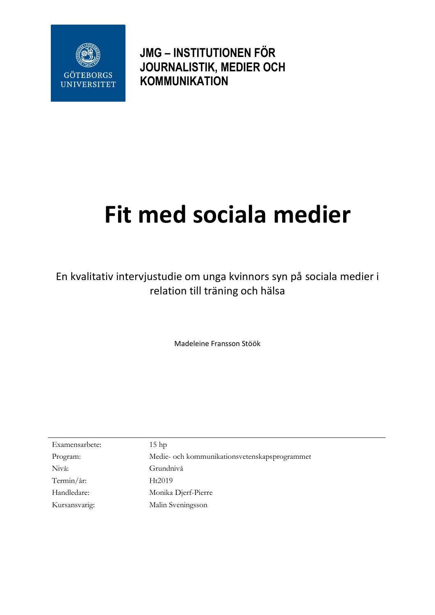

**JMG – INSTITUTIONEN FÖR JOURNALISTIK, MEDIER OCH KOMMUNIKATION**

# **Fit med sociala medier**

En kvalitativ intervjustudie om unga kvinnors syn på sociala medier i relation till träning och hälsa

Madeleine Fransson Stöök

| Examensarbete: | 15 <sub>hp</sub>                              |
|----------------|-----------------------------------------------|
| Program:       | Medie- och kommunikationsvetenskapsprogrammet |
| Nivå:          | Grundnivå                                     |
| Termin/år:     | Ht2019                                        |
| Handledare:    | Monika Djerf-Pierre                           |
| Kursansvarig:  | Malin Sveningsson                             |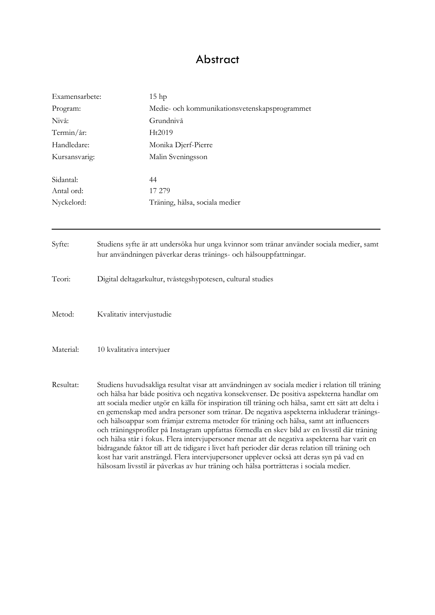# Abstract

| Examensarbete: | 15 <sub>hp</sub>                                                                                                                                                                                                                                                                                                                                                                                                                                                                                                                                                                                                                                                                                                                                                                                                                                                                                                                                                                |
|----------------|---------------------------------------------------------------------------------------------------------------------------------------------------------------------------------------------------------------------------------------------------------------------------------------------------------------------------------------------------------------------------------------------------------------------------------------------------------------------------------------------------------------------------------------------------------------------------------------------------------------------------------------------------------------------------------------------------------------------------------------------------------------------------------------------------------------------------------------------------------------------------------------------------------------------------------------------------------------------------------|
| Program:       | Medie- och kommunikationsvetenskapsprogrammet                                                                                                                                                                                                                                                                                                                                                                                                                                                                                                                                                                                                                                                                                                                                                                                                                                                                                                                                   |
| Nivå:          | Grundnivå                                                                                                                                                                                                                                                                                                                                                                                                                                                                                                                                                                                                                                                                                                                                                                                                                                                                                                                                                                       |
| Termin/år:     | Ht2019                                                                                                                                                                                                                                                                                                                                                                                                                                                                                                                                                                                                                                                                                                                                                                                                                                                                                                                                                                          |
| Handledare:    | Monika Djerf-Pierre                                                                                                                                                                                                                                                                                                                                                                                                                                                                                                                                                                                                                                                                                                                                                                                                                                                                                                                                                             |
| Kursansvarig:  | Malin Sveningsson                                                                                                                                                                                                                                                                                                                                                                                                                                                                                                                                                                                                                                                                                                                                                                                                                                                                                                                                                               |
| Sidantal:      | 44                                                                                                                                                                                                                                                                                                                                                                                                                                                                                                                                                                                                                                                                                                                                                                                                                                                                                                                                                                              |
| Antal ord:     | 17 279                                                                                                                                                                                                                                                                                                                                                                                                                                                                                                                                                                                                                                                                                                                                                                                                                                                                                                                                                                          |
| Nyckelord:     | Träning, hälsa, sociala medier                                                                                                                                                                                                                                                                                                                                                                                                                                                                                                                                                                                                                                                                                                                                                                                                                                                                                                                                                  |
| Syfte:         | Studiens syfte är att undersöka hur unga kvinnor som tränar använder sociala medier, samt<br>hur användningen påverkar deras tränings- och hälsouppfattningar.                                                                                                                                                                                                                                                                                                                                                                                                                                                                                                                                                                                                                                                                                                                                                                                                                  |
| Teori:         | Digital deltagarkultur, tvåstegshypotesen, cultural studies                                                                                                                                                                                                                                                                                                                                                                                                                                                                                                                                                                                                                                                                                                                                                                                                                                                                                                                     |
| Metod:         | Kvalitativ intervjustudie                                                                                                                                                                                                                                                                                                                                                                                                                                                                                                                                                                                                                                                                                                                                                                                                                                                                                                                                                       |
| Material:      | 10 kvalitativa intervjuer                                                                                                                                                                                                                                                                                                                                                                                                                                                                                                                                                                                                                                                                                                                                                                                                                                                                                                                                                       |
| Resultat:      | Studiens huvudsakliga resultat visar att användningen av sociala medier i relation till träning<br>och hälsa har både positiva och negativa konsekvenser. De positiva aspekterna handlar om<br>att sociala medier utgör en källa för inspiration till träning och hälsa, samt ett sätt att delta i<br>en gemenskap med andra personer som tränar. De negativa aspekterna inkluderar tränings-<br>och hälsoappar som främjar extrema metoder för träning och hälsa, samt att influencers<br>och träningsprofiler på Instagram uppfattas förmedla en skev bild av en livsstil där träning<br>och hälsa står i fokus. Flera intervjupersoner menar att de negativa aspekterna har varit en<br>bidragande faktor till att de tidigare i livet haft perioder där deras relation till träning och<br>kost har varit ansträngd. Flera intervjupersoner upplever också att deras syn på vad en<br>hälsosam livsstil är påverkas av hur träning och hälsa porträtteras i sociala medier. |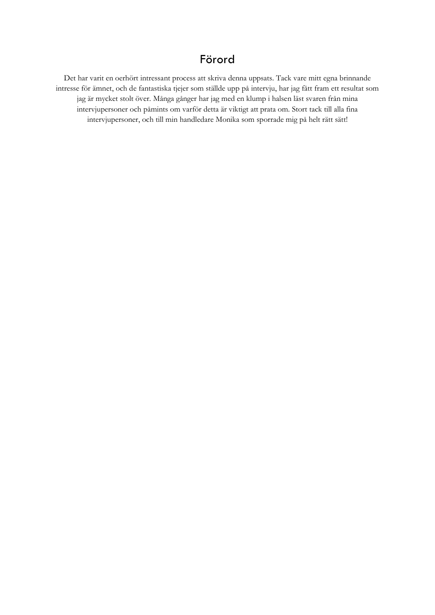# Förord

Det har varit en oerhört intressant process att skriva denna uppsats. Tack vare mitt egna brinnande intresse för ämnet, och de fantastiska tjejer som ställde upp på intervju, har jag fått fram ett resultat som jag är mycket stolt över. Många gånger har jag med en klump i halsen läst svaren från mina intervjupersoner och påmints om varför detta är viktigt att prata om. Stort tack till alla fina intervjupersoner, och till min handledare Monika som sporrade mig på helt rätt sätt!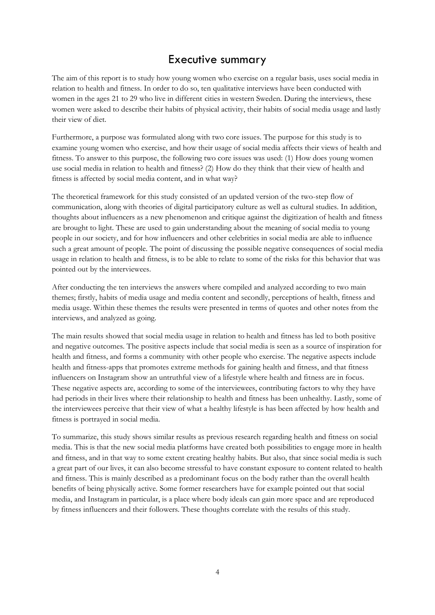# Executive summary

The aim of this report is to study how young women who exercise on a regular basis, uses social media in relation to health and fitness. In order to do so, ten qualitative interviews have been conducted with women in the ages 21 to 29 who live in different cities in western Sweden. During the interviews, these women were asked to describe their habits of physical activity, their habits of social media usage and lastly their view of diet.

Furthermore, a purpose was formulated along with two core issues. The purpose for this study is to examine young women who exercise, and how their usage of social media affects their views of health and fitness. To answer to this purpose, the following two core issues was used: (1) How does young women use social media in relation to health and fitness? (2) How do they think that their view of health and fitness is affected by social media content, and in what way?

The theoretical framework for this study consisted of an updated version of the two-step flow of communication, along with theories of digital participatory culture as well as cultural studies. In addition, thoughts about influencers as a new phenomenon and critique against the digitization of health and fitness are brought to light. These are used to gain understanding about the meaning of social media to young people in our society, and for how influencers and other celebrities in social media are able to influence such a great amount of people. The point of discussing the possible negative consequences of social media usage in relation to health and fitness, is to be able to relate to some of the risks for this behavior that was pointed out by the interviewees.

After conducting the ten interviews the answers where compiled and analyzed according to two main themes; firstly, habits of media usage and media content and secondly, perceptions of health, fitness and media usage. Within these themes the results were presented in terms of quotes and other notes from the interviews, and analyzed as going.

The main results showed that social media usage in relation to health and fitness has led to both positive and negative outcomes. The positive aspects include that social media is seen as a source of inspiration for health and fitness, and forms a community with other people who exercise. The negative aspects include health and fitness-apps that promotes extreme methods for gaining health and fitness, and that fitness influencers on Instagram show an untruthful view of a lifestyle where health and fitness are in focus. These negative aspects are, according to some of the interviewees, contributing factors to why they have had periods in their lives where their relationship to health and fitness has been unhealthy. Lastly, some of the interviewees perceive that their view of what a healthy lifestyle is has been affected by how health and fitness is portrayed in social media.

To summarize, this study shows similar results as previous research regarding health and fitness on social media. This is that the new social media platforms have created both possibilities to engage more in health and fitness, and in that way to some extent creating healthy habits. But also, that since social media is such a great part of our lives, it can also become stressful to have constant exposure to content related to health and fitness. This is mainly described as a predominant focus on the body rather than the overall health benefits of being physically active. Some former researchers have for example pointed out that social media, and Instagram in particular, is a place where body ideals can gain more space and are reproduced by fitness influencers and their followers. These thoughts correlate with the results of this study.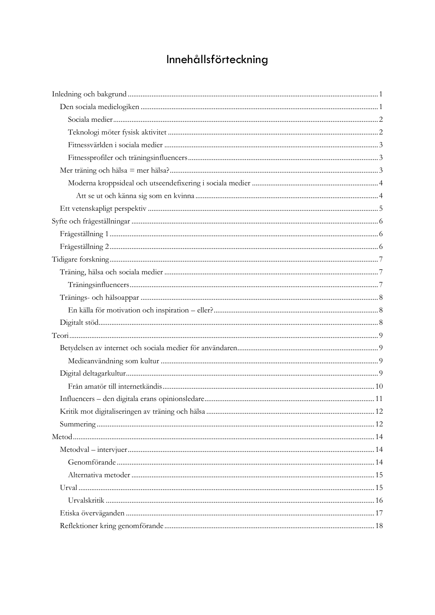# Innehållsförteckning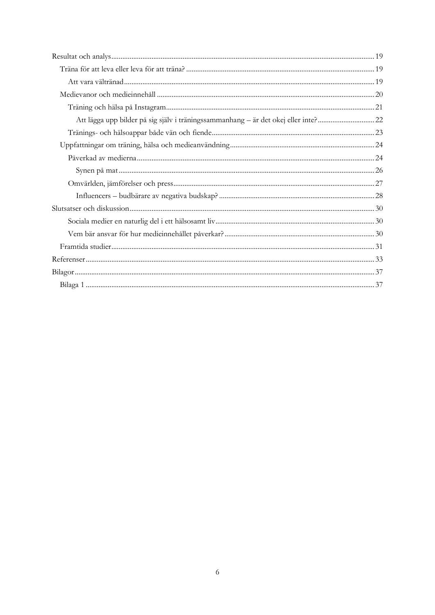| Att lägga upp bilder på sig själv i träningssammanhang – är det okej eller inte?22 |  |
|------------------------------------------------------------------------------------|--|
|                                                                                    |  |
|                                                                                    |  |
|                                                                                    |  |
|                                                                                    |  |
|                                                                                    |  |
|                                                                                    |  |
|                                                                                    |  |
|                                                                                    |  |
|                                                                                    |  |
|                                                                                    |  |
|                                                                                    |  |
|                                                                                    |  |
|                                                                                    |  |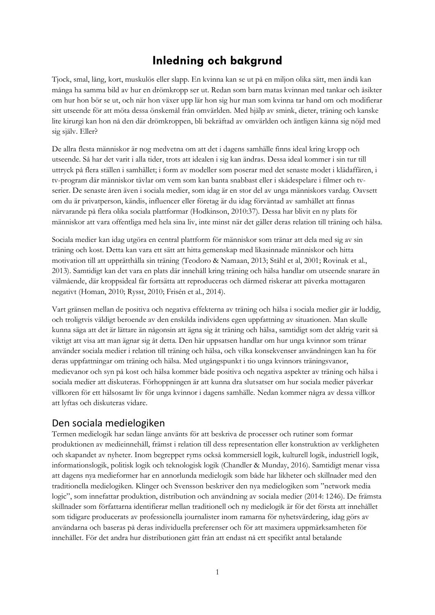# **Inledning och bakgrund**

<span id="page-6-0"></span>Tjock, smal, lång, kort, muskulös eller slapp. En kvinna kan se ut på en miljon olika sätt, men ändå kan många ha samma bild av hur en drömkropp ser ut. Redan som barn matas kvinnan med tankar och åsikter om hur hon bör se ut, och när hon växer upp lär hon sig hur man som kvinna tar hand om och modifierar sitt utseende för att möta dessa önskemål från omvärlden. Med hjälp av smink, dieter, träning och kanske lite kirurgi kan hon nå den där drömkroppen, bli bekräftad av omvärlden och äntligen känna sig nöjd med sig själv. Eller?

De allra flesta människor är nog medvetna om att det i dagens samhälle finns ideal kring kropp och utseende. Så har det varit i alla tider, trots att idealen i sig kan ändras. Dessa ideal kommer i sin tur till uttryck på flera ställen i samhället; i form av modeller som poserar med det senaste modet i klädaffären, i tv-program där människor tävlar om vem som kan banta snabbast eller i skådespelare i filmer och tvserier. De senaste åren även i sociala medier, som idag är en stor del av unga människors vardag. Oavsett om du är privatperson, kändis, influencer eller företag är du idag förväntad av samhället att finnas närvarande på flera olika sociala plattformar (Hodkinson, 2010:37). Dessa har blivit en ny plats för människor att vara offentliga med hela sina liv, inte minst när det gäller deras relation till träning och hälsa.

Sociala medier kan idag utgöra en central plattform för människor som tränar att dela med sig av sin träning och kost. Detta kan vara ett sätt att hitta gemenskap med likasinnade människor och hitta motivation till att upprätthålla sin träning (Teodoro & Namaan, 2013; Ståhl et al, 2001; Rovinak et al., 2013). Samtidigt kan det vara en plats där innehåll kring träning och hälsa handlar om utseende snarare än välmående, där kroppsideal får fortsätta att reproduceras och därmed riskerar att påverka mottagaren negativt (Homan, 2010; Rysst, 2010; Frisén et al., 2014).

Vart gränsen mellan de positiva och negativa effekterna av träning och hälsa i sociala medier går är luddig, och troligtvis väldigt beroende av den enskilda individens egen uppfattning av situationen. Man skulle kunna säga att det är lättare än någonsin att ägna sig åt träning och hälsa, samtidigt som det aldrig varit så viktigt att visa att man ägnar sig åt detta. Den här uppsatsen handlar om hur unga kvinnor som tränar använder sociala medier i relation till träning och hälsa, och vilka konsekvenser användningen kan ha för deras uppfattningar om träning och hälsa. Med utgångspunkt i tio unga kvinnors träningsvanor, medievanor och syn på kost och hälsa kommer både positiva och negativa aspekter av träning och hälsa i sociala medier att diskuteras. Förhoppningen är att kunna dra slutsatser om hur sociala medier påverkar villkoren för ett hälsosamt liv för unga kvinnor i dagens samhälle. Nedan kommer några av dessa villkor att lyftas och diskuteras vidare.

### <span id="page-6-1"></span>Den sociala medielogiken

Termen medielogik har sedan länge använts för att beskriva de processer och rutiner som formar produktionen av medieinnehåll, främst i relation till dess representation eller konstruktion av verkligheten och skapandet av nyheter. Inom begreppet ryms också kommersiell logik, kulturell logik, industriell logik, informationslogik, politisk logik och teknologisk logik (Chandler & Munday, 2016). Samtidigt menar vissa att dagens nya medieformer har en annorlunda medielogik som både har likheter och skillnader med den traditionella medielogiken. Klinger och Svensson beskriver den nya medielogiken som "network media logic", som innefattar produktion, distribution och användning av sociala medier (2014: 1246). De främsta skillnader som författarna identifierar mellan traditionell och ny medielogik är för det första att innehållet som tidigare producerats av professionella journalister inom ramarna för nyhetsvärdering, idag görs av användarna och baseras på deras individuella preferenser och för att maximera uppmärksamheten för innehållet. För det andra hur distributionen gått från att endast nå ett specifikt antal betalande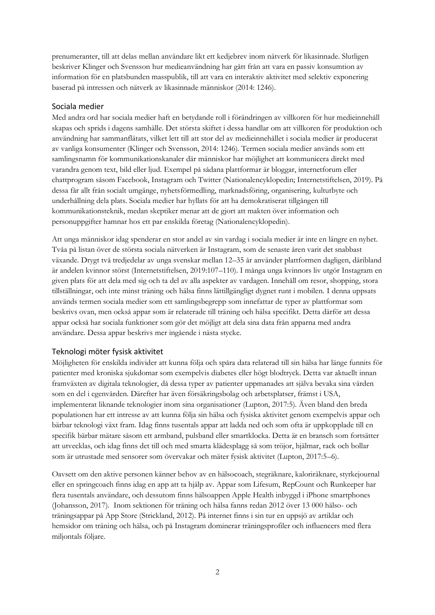prenumeranter, till att delas mellan användare likt ett kedjebrev inom nätverk för likasinnade. Slutligen beskriver Klinger och Svensson hur medieanvändning har gått från att vara en passiv konsumtion av information för en platsbunden masspublik, till att vara en interaktiv aktivitet med selektiv exponering baserad på intressen och nätverk av likasinnade människor (2014: 1246).

### <span id="page-7-0"></span>Sociala medier

Med andra ord har sociala medier haft en betydande roll i förändringen av villkoren för hur medieinnehåll skapas och sprids i dagens samhälle. Det största skiftet i dessa handlar om att villkoren för produktion och användning har sammanflätats, vilket lett till att stor del av medieinnehållet i sociala medier är producerat av vanliga konsumenter (Klinger och Svensson, 2014: 1246). Termen sociala medier används som ett samlingsnamn för kommunikationskanaler där människor har möjlighet att kommunicera direkt med varandra genom text, bild eller ljud. Exempel på sådana plattformar är bloggar, internetforum eller chattprogram såsom Facebook, Instagram och Twitter (Nationalencyklopedin; Internetstiftelsen, 2019). På dessa får allt från socialt umgänge, nyhetsförmedling, marknadsföring, organisering, kultutbyte och underhållning dela plats. Sociala medier har hyllats för att ha demokratiserat tillgången till kommunikationsteknik, medan skeptiker menar att de gjort att makten över information och personuppgifter hamnar hos ett par enskilda företag (Nationalencyklopedin).

Att unga människor idag spenderar en stor andel av sin vardag i sociala medier är inte en längre en nyhet. Tvåa på listan över de största sociala nätverken är Instagram, som de senaste åren varit det snabbast växande. Drygt två tredjedelar av unga svenskar mellan 12–35 år använder plattformen dagligen, däribland är andelen kvinnor störst (Internetstiftelsen, 2019:107–110). I många unga kvinnors liv utgör Instagram en given plats för att dela med sig och ta del av alla aspekter av vardagen. Innehåll om resor, shopping, stora tillställningar, och inte minst träning och hälsa finns lättillgängligt dygnet runt i mobilen. I denna uppsats används termen sociala medier som ett samlingsbegrepp som innefattar de typer av plattformar som beskrivs ovan, men också appar som är relaterade till träning och hälsa specifikt. Detta därför att dessa appar också har sociala funktioner som gör det möjligt att dela sina data från apparna med andra användare. Dessa appar beskrivs mer ingående i nästa stycke.

#### <span id="page-7-1"></span>Teknologi möter fysisk aktivitet

Möjligheten för enskilda individer att kunna följa och spåra data relaterad till sin hälsa har länge funnits för patienter med kroniska sjukdomar som exempelvis diabetes eller högt blodtryck. Detta var aktuellt innan framväxten av digitala teknologier, då dessa typer av patienter uppmanades att själva bevaka sina värden som en del i egenvården. Därefter har även försäkringsbolag och arbetsplatser, främst i USA, implementerat liknande teknologier inom sina organisationer (Lupton, 2017:5). Även bland den breda populationen har ett intresse av att kunna följa sin hälsa och fysiska aktivitet genom exempelvis appar och bärbar teknologi växt fram. Idag finns tusentals appar att ladda ned och som ofta är uppkopplade till en specifik bärbar mätare såsom ett armband, pulsband eller smartklocka. Detta är en bransch som fortsätter att utvecklas, och idag finns det till och med smarta klädesplagg så som tröjor, hjälmar, rack och bollar som är utrustade med sensorer som övervakar och mäter fysisk aktivitet (Lupton, 2017:5–6).

Oavsett om den aktive personen känner behov av en hälsocoach, stegräknare, kaloriräknare, styrkejournal eller en springcoach finns idag en app att ta hjälp av. Appar som Lifesum, RepCount och Runkeeper har flera tusentals användare, och dessutom finns hälsoappen Apple Health inbyggd i iPhone smartphones (Johansson, 2017). Inom sektionen för träning och hälsa fanns redan 2012 över 13 000 hälso- och träningsappar på App Store (Strickland, 2012). På internet finns i sin tur en uppsjö av artiklar och hemsidor om träning och hälsa, och på Instagram dominerar träningsprofiler och influencers med flera miljontals följare.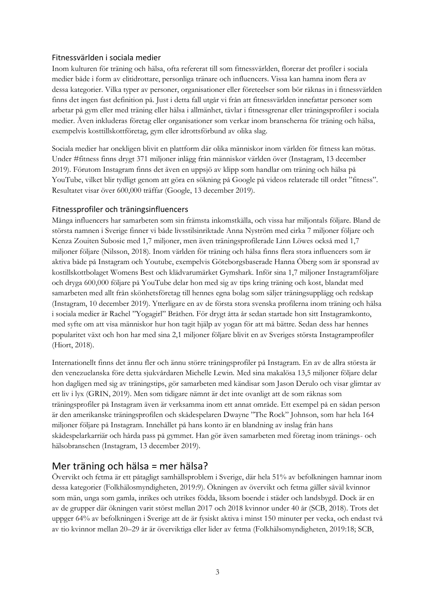#### <span id="page-8-0"></span>Fitnessvärlden i sociala medier

Inom kulturen för träning och hälsa, ofta refererat till som fitnessvärlden, florerar det profiler i sociala medier både i form av elitidrottare, personliga tränare och influencers. Vissa kan hamna inom flera av dessa kategorier. Vilka typer av personer, organisationer eller företeelser som bör räknas in i fitnessvärlden finns det ingen fast definition på. Just i detta fall utgår vi från att fitnessvärlden innefattar personer som arbetar på gym eller med träning eller hälsa i allmänhet, tävlar i fitnessgrenar eller träningsprofiler i sociala medier. Även inkluderas företag eller organisationer som verkar inom branscherna för träning och hälsa, exempelvis kosttillskottföretag, gym eller idrottsförbund av olika slag.

Sociala medier har onekligen blivit en plattform där olika människor inom världen för fitness kan mötas. Under #fitness finns drygt 371 miljoner inlägg från människor världen över (Instagram, 13 december 2019). Förutom Instagram finns det även en uppsjö av klipp som handlar om träning och hälsa på YouTube, vilket blir tydligt genom att göra en sökning på Google på videos relaterade till ordet "fitness". Resultatet visar över 600,000 träffar (Google, 13 december 2019).

#### <span id="page-8-1"></span>Fitnessprofiler och träningsinfluencers

Många influencers har samarbeten som sin främsta inkomstkälla, och vissa har miljontals följare. Bland de största namnen i Sverige finner vi både livsstilsinriktade Anna Nyström med cirka 7 miljoner följare och Kenza Zouiten Subosic med 1,7 miljoner, men även träningsprofilerade Linn Löwes också med 1,7 miljoner följare (Nilsson, 2018). Inom världen för träning och hälsa finns flera stora influencers som är aktiva både på Instagram och Youtube, exempelvis Göteborgsbaserade Hanna Öberg som är sponsrad av kostillskottbolaget Womens Best och klädvarumärket Gymshark. Inför sina 1,7 miljoner Instagramföljare och dryga 600,000 följare på YouTube delar hon med sig av tips kring träning och kost, blandat med samarbeten med allt från skönhetsföretag till hennes egna bolag som säljer träningsupplägg och redskap (Instagram, 10 december 2019). Ytterligare en av de första stora svenska profilerna inom träning och hälsa i sociala medier är Rachel "Yogagirl" Bråthen. För drygt åtta år sedan startade hon sitt Instagramkonto, med syfte om att visa människor hur hon tagit hjälp av yogan för att må bättre. Sedan dess har hennes popularitet växt och hon har med sina 2,1 miljoner följare blivit en av Sveriges största Instagramprofiler (Hiort, 2018).

Internationellt finns det ännu fler och ännu större träningsprofiler på Instagram. En av de allra största är den venezuelanska före detta sjukvårdaren Michelle Lewin. Med sina makalösa 13,5 miljoner följare delar hon dagligen med sig av träningstips, gör samarbeten med kändisar som Jason Derulo och visar glimtar av ett liv i lyx (GRIN, 2019). Men som tidigare nämnt är det inte ovanligt att de som räknas som träningsprofiler på Instagram även är verksamma inom ett annat område. Ett exempel på en sådan person är den amerikanske träningsprofilen och skådespelaren Dwayne "The Rock" Johnson, som har hela 164 miljoner följare på Instagram. Innehållet på hans konto är en blandning av inslag från hans skådespelarkarriär och hårda pass på gymmet. Han gör även samarbeten med företag inom tränings- och hälsobranschen (Instagram, 13 december 2019).

### <span id="page-8-2"></span>Mer träning och hälsa = mer hälsa?

Övervikt och fetma är ett påtagligt samhällsproblem i Sverige, där hela 51% av befolkningen hamnar inom dessa kategorier (Folkhälosmyndigheten, 2019:9). Ökningen av övervikt och fetma gäller såväl kvinnor som män, unga som gamla, inrikes och utrikes födda, liksom boende i städer och landsbygd. Dock är en av de grupper där ökningen varit störst mellan 2017 och 2018 kvinnor under 40 år (SCB, 2018). Trots det uppger 64% av befolkningen i Sverige att de är fysiskt aktiva i minst 150 minuter per vecka, och endast två av tio kvinnor mellan 20–29 år är överviktiga eller lider av fetma (Folkhälsomyndigheten, 2019:18; SCB,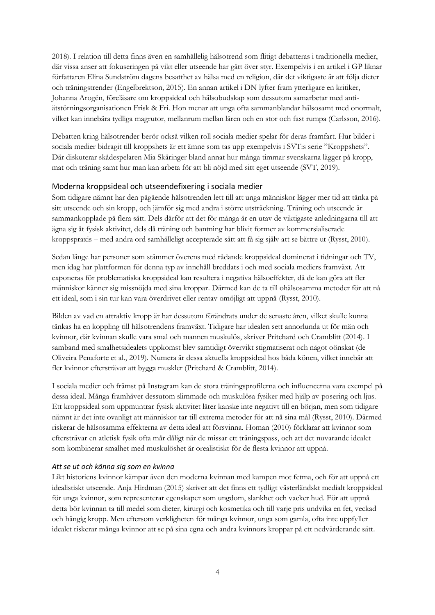2018). I relation till detta finns även en samhällelig hälsotrend som flitigt debatteras i traditionella medier, där vissa anser att fokuseringen på vikt eller utseende har gått över styr. Exempelvis i en artikel i GP liknar författaren Elina Sundström dagens besatthet av hälsa med en religion, där det viktigaste är att följa dieter och träningstrender (Engelbrektson, 2015). En annan artikel i DN lyfter fram ytterligare en kritiker, Johanna Arogén, föreläsare om kroppsideal och hälsobudskap som dessutom samarbetar med antiätstörningsorganisationen Frisk & Fri. Hon menar att unga ofta sammanblandar hälsosamt med onormalt, vilket kan innebära tydliga magrutor, mellanrum mellan låren och en stor och fast rumpa (Carlsson, 2016).

Debatten kring hälsotrender berör också vilken roll sociala medier spelar för deras framfart. Hur bilder i sociala medier bidragit till kroppshets är ett ämne som tas upp exempelvis i SVT:s serie "Kroppshets". Där diskuterar skådespelaren Mia Skäringer bland annat hur många timmar svenskarna lägger på kropp, mat och träning samt hur man kan arbeta för att bli nöjd med sitt eget utseende (SVT, 2019).

### <span id="page-9-0"></span>Moderna kroppsideal och utseendefixering i sociala medier

Som tidigare nämnt har den pågående hälsotrenden lett till att unga människor lägger mer tid att tänka på sitt utseende och sin kropp, och jämför sig med andra i större utsträckning. Träning och utseende är sammankopplade på flera sätt. Dels därför att det för många är en utav de viktigaste anledningarna till att ägna sig åt fysisk aktivitet, dels då träning och bantning har blivit former av kommersialiserade kroppspraxis – med andra ord samhälleligt accepterade sätt att få sig själv att se bättre ut (Rysst, 2010).

Sedan länge har personer som stämmer överens med rådande kroppsideal dominerat i tidningar och TV, men idag har plattformen för denna typ av innehåll breddats i och med sociala mediers framväxt. Att exponeras för problematiska kroppsideal kan resultera i negativa hälsoeffekter, då de kan göra att fler människor känner sig missnöjda med sina kroppar. Därmed kan de ta till ohälsosamma metoder för att nå ett ideal, som i sin tur kan vara överdrivet eller rentav omöjligt att uppnå (Rysst, 2010).

Bilden av vad en attraktiv kropp är har dessutom förändrats under de senaste åren, vilket skulle kunna tänkas ha en koppling till hälsotrendens framväxt. Tidigare har idealen sett annorlunda ut för män och kvinnor, där kvinnan skulle vara smal och mannen muskulös, skriver Pritchard och Cramblitt (2014). I samband med smalhetsidealets uppkomst blev samtidigt övervikt stigmatiserat och något oönskat (de Oliveira Penaforte et al., 2019). Numera är dessa aktuella kroppsideal hos båda könen, vilket innebär att fler kvinnor eftersträvar att bygga muskler (Pritchard & Cramblitt, 2014).

I sociala medier och främst på Instagram kan de stora träningsprofilerna och influencerna vara exempel på dessa ideal. Många framhäver dessutom slimmade och muskulösa fysiker med hjälp av posering och ljus. Ett kroppsideal som uppmuntrar fysisk aktivitet låter kanske inte negativt till en början, men som tidigare nämnt är det inte ovanligt att människor tar till extrema metoder för att nå sina mål (Rysst, 2010). Därmed riskerar de hälsosamma effekterna av detta ideal att försvinna. Homan (2010) förklarar att kvinnor som eftersträvar en atletisk fysik ofta mår dåligt när de missar ett träningspass, och att det nuvarande idealet som kombinerar smalhet med muskulöshet är orealistiskt för de flesta kvinnor att uppnå.

#### <span id="page-9-1"></span>*Att se ut och känna sig som en kvinna*

Likt historiens kvinnor kämpar även den moderna kvinnan med kampen mot fetma, och för att uppnå ett idealistiskt utseende. Anja Hirdman (2015) skriver att det finns ett tydligt västerländskt medialt kroppsideal för unga kvinnor, som representerar egenskaper som ungdom, slankhet och vacker hud. För att uppnå detta bör kvinnan ta till medel som dieter, kirurgi och kosmetika och till varje pris undvika en fet, veckad och hängig kropp. Men eftersom verkligheten för många kvinnor, unga som gamla, ofta inte uppfyller idealet riskerar många kvinnor att se på sina egna och andra kvinnors kroppar på ett nedvärderande sätt.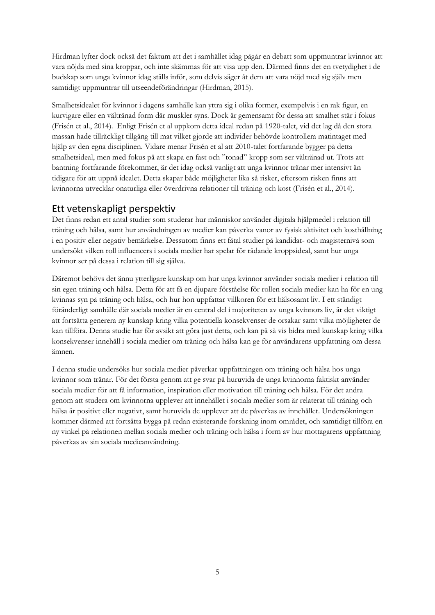Hirdman lyfter dock också det faktum att det i samhället idag pågår en debatt som uppmuntrar kvinnor att vara nöjda med sina kroppar, och inte skämmas för att visa upp den. Därmed finns det en tvetydighet i de budskap som unga kvinnor idag ställs inför, som delvis säger åt dem att vara nöjd med sig själv men samtidigt uppmuntrar till utseendeförändringar (Hirdman, 2015).

Smalhetsidealet för kvinnor i dagens samhälle kan yttra sig i olika former, exempelvis i en rak figur, en kurvigare eller en vältränad form där muskler syns. Dock är gemensamt för dessa att smalhet står i fokus (Frisén et al., 2014). Enligt Frisén et al uppkom detta ideal redan på 1920-talet, vid det lag då den stora massan hade tillräckligt tillgång till mat vilket gjorde att individer behövde kontrollera matintaget med hjälp av den egna disciplinen. Vidare menar Frisén et al att 2010-talet fortfarande bygger på detta smalhetsideal, men med fokus på att skapa en fast och "tonad" kropp som ser vältränad ut. Trots att bantning fortfarande förekommer, är det idag också vanligt att unga kvinnor tränar mer intensivt än tidigare för att uppnå idealet. Detta skapar både möjligheter lika så risker, eftersom risken finns att kvinnorna utvecklar onaturliga eller överdrivna relationer till träning och kost (Frisén et al., 2014).

### <span id="page-10-0"></span>Ett vetenskapligt perspektiv

Det finns redan ett antal studier som studerar hur människor använder digitala hjälpmedel i relation till träning och hälsa, samt hur användningen av medier kan påverka vanor av fysisk aktivitet och kosthållning i en positiv eller negativ bemärkelse. Dessutom finns ett fåtal studier på kandidat- och magisternivå som undersökt vilken roll influencers i sociala medier har spelar för rådande kroppsideal, samt hur unga kvinnor ser på dessa i relation till sig själva.

Däremot behövs det ännu ytterligare kunskap om hur unga kvinnor använder sociala medier i relation till sin egen träning och hälsa. Detta för att få en djupare förståelse för rollen sociala medier kan ha för en ung kvinnas syn på träning och hälsa, och hur hon uppfattar villkoren för ett hälsosamt liv. I ett ständigt föränderligt samhälle där sociala medier är en central del i majoriteten av unga kvinnors liv, är det viktigt att fortsätta generera ny kunskap kring vilka potentiella konsekvenser de orsakar samt vilka möjligheter de kan tillföra. Denna studie har för avsikt att göra just detta, och kan på så vis bidra med kunskap kring vilka konsekvenser innehåll i sociala medier om träning och hälsa kan ge för användarens uppfattning om dessa ämnen.

I denna studie undersöks hur sociala medier påverkar uppfattningen om träning och hälsa hos unga kvinnor som tränar. För det första genom att ge svar på huruvida de unga kvinnorna faktiskt använder sociala medier för att få information, inspiration eller motivation till träning och hälsa. För det andra genom att studera om kvinnorna upplever att innehållet i sociala medier som är relaterat till träning och hälsa är positivt eller negativt, samt huruvida de upplever att de påverkas av innehållet. Undersökningen kommer därmed att fortsätta bygga på redan existerande forskning inom området, och samtidigt tillföra en ny vinkel på relationen mellan sociala medier och träning och hälsa i form av hur mottagarens uppfattning påverkas av sin sociala medieanvändning.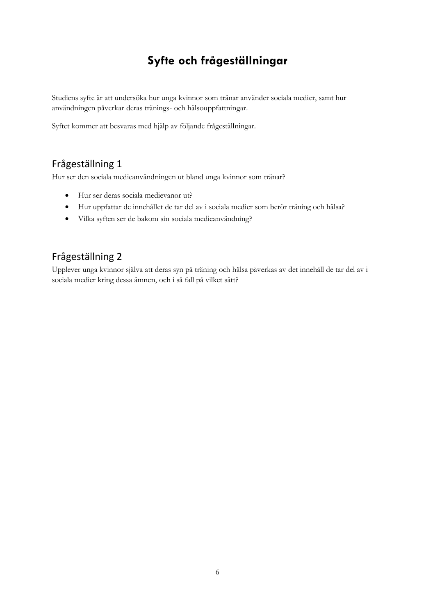# **Syfte och frågeställningar**

<span id="page-11-0"></span>Studiens syfte är att undersöka hur unga kvinnor som tränar använder sociala medier, samt hur användningen påverkar deras tränings- och hälsouppfattningar.

Syftet kommer att besvaras med hjälp av följande frågeställningar.

# <span id="page-11-1"></span>Frågeställning 1

Hur ser den sociala medieanvändningen ut bland unga kvinnor som tränar?

- Hur ser deras sociala medievanor ut?
- Hur uppfattar de innehållet de tar del av i sociala medier som berör träning och hälsa?
- Vilka syften ser de bakom sin sociala medieanvändning?

# <span id="page-11-2"></span>Frågeställning 2

Upplever unga kvinnor själva att deras syn på träning och hälsa påverkas av det innehåll de tar del av i sociala medier kring dessa ämnen, och i så fall på vilket sätt?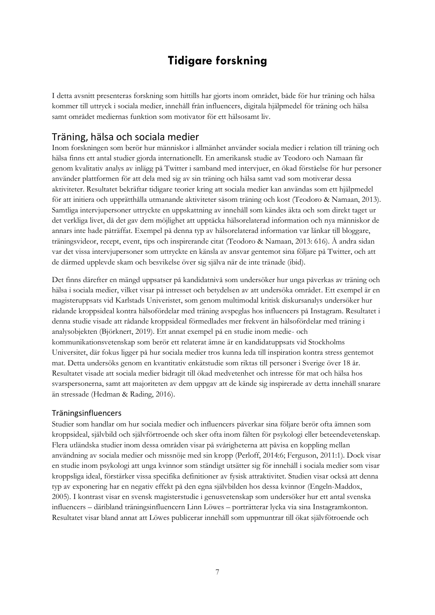# **Tidigare forskning**

<span id="page-12-0"></span>I detta avsnitt presenteras forskning som hittills har gjorts inom området, både för hur träning och hälsa kommer till uttryck i sociala medier, innehåll från influencers, digitala hjälpmedel för träning och hälsa samt området mediernas funktion som motivator för ett hälsosamt liv.

### <span id="page-12-1"></span>Träning, hälsa och sociala medier

Inom forskningen som berör hur människor i allmänhet använder sociala medier i relation till träning och hälsa finns ett antal studier gjorda internationellt. En amerikansk studie av Teodoro och Namaan får genom kvalitativ analys av inlägg på Twitter i samband med intervjuer, en ökad förståelse för hur personer använder plattformen för att dela med sig av sin träning och hälsa samt vad som motiverar dessa aktiviteter. Resultatet bekräftar tidigare teorier kring att sociala medier kan användas som ett hjälpmedel för att initiera och upprätthålla utmanande aktiviteter såsom träning och kost (Teodoro & Namaan, 2013). Samtliga intervjupersoner uttryckte en uppskattning av innehåll som kändes äkta och som direkt taget ur det verkliga livet, då det gav dem möjlighet att upptäcka hälsorelaterad information och nya människor de annars inte hade påträffat. Exempel på denna typ av hälsorelaterad information var länkar till bloggare, träningsvideor, recept, event, tips och inspirerande citat (Teodoro & Namaan, 2013: 616). Å andra sidan var det vissa intervjupersoner som uttryckte en känsla av ansvar gentemot sina följare på Twitter, och att de därmed upplevde skam och besvikelse över sig själva när de inte tränade (ibid).

Det finns därefter en mängd uppsatser på kandidatnivå som undersöker hur unga påverkas av träning och hälsa i sociala medier, vilket visar på intresset och betydelsen av att undersöka området. Ett exempel är en magisteruppsats vid Karlstads Univeristet, som genom multimodal kritisk diskursanalys undersöker hur rådande kroppsideal kontra hälsofördelar med träning avspeglas hos influencers på Instagram. Resultatet i denna studie visade att rådande kroppsideal förmedlades mer frekvent än hälsofördelar med träning i analysobjekten (Björknert, 2019). Ett annat exempel på en studie inom medie- och kommunikationsvetenskap som berör ett relaterat ämne är en kandidatuppsats vid Stockholms Universitet, där fokus ligger på hur sociala medier tros kunna leda till inspiration kontra stress gentemot mat. Detta undersöks genom en kvantitativ enkätstudie som riktas till personer i Sverige över 18 år. Resultatet visade att sociala medier bidragit till ökad medvetenhet och intresse för mat och hälsa hos svarspersonerna, samt att majoriteten av dem uppgav att de kände sig inspirerade av detta innehåll snarare än stressade (Hedman & Rading, 2016).

#### <span id="page-12-2"></span>Träningsinfluencers

Studier som handlar om hur sociala medier och influencers påverkar sina följare berör ofta ämnen som kroppsideal, självbild och självförtroende och sker ofta inom fälten för psykologi eller beteendevetenskap. Flera utländska studier inom dessa områden visar på svårigheterna att påvisa en koppling mellan användning av sociala medier och missnöje med sin kropp (Perloff, 2014:6; Ferguson, 2011:1). Dock visar en studie inom psykologi att unga kvinnor som ständigt utsätter sig för innehåll i sociala medier som visar kroppsliga ideal, förstärker vissa specifika definitioner av fysisk attraktivitet. Studien visar också att denna typ av exponering har en negativ effekt på den egna självbilden hos dessa kvinnor (Engeln-Maddox, 2005). I kontrast visar en svensk magisterstudie i genusvetenskap som undersöker hur ett antal svenska influencers – däribland träningsinfluencern Linn Löwes – porträtterar lycka via sina Instagramkonton. Resultatet visar bland annat att Löwes publicerar innehåll som uppmuntrar till ökat självfötroende och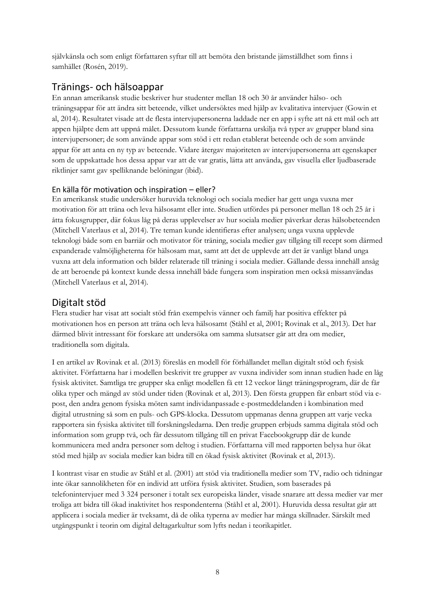självkänsla och som enligt författaren syftar till att bemöta den bristande jämställdhet som finns i samhället (Rosén, 2019).

# <span id="page-13-0"></span>Tränings- och hälsoappar

En annan amerikansk studie beskriver hur studenter mellan 18 och 30 år använder hälso- och träningsappar för att ändra sitt beteende, vilket undersöktes med hjälp av kvalitativa intervjuer (Gowin et al, 2014). Resultatet visade att de flesta intervjupersonerna laddade ner en app i syfte att nå ett mål och att appen hjälpte dem att uppnå målet. Dessutom kunde författarna urskilja två typer av grupper bland sina intervjupersoner; de som använde appar som stöd i ett redan etablerat beteende och de som använde appar för att anta en ny typ av beteende. Vidare återgav majoriteten av intervjupersonerna att egenskaper som de uppskattade hos dessa appar var att de var gratis, lätta att använda, gav visuella eller ljudbaserade riktlinjer samt gav spelliknande belöningar (ibid).

### <span id="page-13-1"></span>En källa för motivation och inspiration – eller?

En amerikansk studie undersöker huruvida teknologi och sociala medier har gett unga vuxna mer motivation för att träna och leva hälsosamt eller inte. Studien utfördes på personer mellan 18 och 25 år i åtta fokusgrupper, där fokus låg på deras upplevelser av hur sociala medier påverkar deras hälsobeteenden (Mitchell Vaterlaus et al, 2014). Tre teman kunde identifieras efter analysen; unga vuxna upplevde teknologi både som en barriär och motivator för träning, sociala medier gav tillgång till recept som därmed expanderade valmöjligheterna för hälsosam mat, samt att det de upplevde att det är vanligt bland unga vuxna att dela information och bilder relaterade till träning i sociala medier. Gällande dessa innehåll ansåg de att beroende på kontext kunde dessa innehåll både fungera som inspiration men också missanvändas (Mitchell Vaterlaus et al, 2014).

### <span id="page-13-2"></span>Digitalt stöd

Flera studier har visat att socialt stöd från exempelvis vänner och familj har positiva effekter på motivationen hos en person att träna och leva hälsosamt (Ståhl et al, 2001; Rovinak et al., 2013). Det har därmed blivit intressant för forskare att undersöka om samma slutsatser går att dra om medier, traditionella som digitala.

I en artikel av Rovinak et al. (2013) föreslås en modell för förhållandet mellan digitalt stöd och fysisk aktivitet. Författarna har i modellen beskrivit tre grupper av vuxna individer som innan studien hade en låg fysisk aktivitet. Samtliga tre grupper ska enligt modellen få ett 12 veckor långt träningsprogram, där de får olika typer och mängd av stöd under tiden (Rovinak et al, 2013). Den första gruppen får enbart stöd via epost, den andra genom fysiska möten samt individanpassade e-postmeddelanden i kombination med digital utrustning så som en puls- och GPS-klocka. Dessutom uppmanas denna gruppen att varje vecka rapportera sin fysiska aktivitet till forskningsledarna. Den tredje gruppen erbjuds samma digitala stöd och information som grupp två, och får dessutom tillgång till en privat Facebookgrupp där de kunde kommunicera med andra personer som deltog i studien. Författarna vill med rapporten belysa hur ökat stöd med hjälp av sociala medier kan bidra till en ökad fysisk aktivitet (Rovinak et al, 2013).

I kontrast visar en studie av Ståhl et al. (2001) att stöd via traditionella medier som TV, radio och tidningar inte ökar sannolikheten för en individ att utföra fysisk aktivitet. Studien, som baserades på telefonintervjuer med 3 324 personer i totalt sex europeiska länder, visade snarare att dessa medier var mer troliga att bidra till ökad inaktivitet hos respondenterna (Ståhl et al, 2001). Huruvida dessa resultat går att applicera i sociala medier är tveksamt, då de olika typerna av medier har många skillnader. Särskilt med utgångspunkt i teorin om digital deltagarkultur som lyfts nedan i teorikapitlet.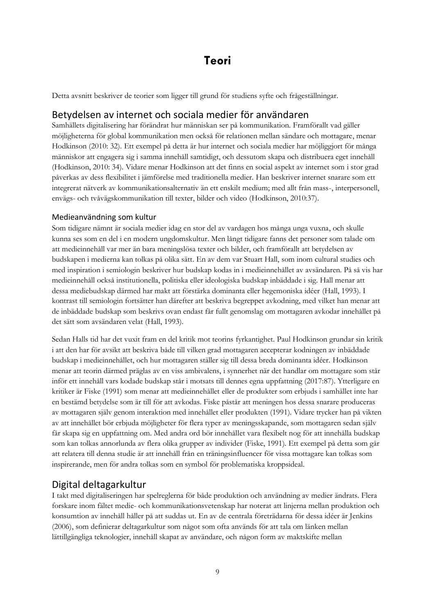# **Teori**

<span id="page-14-0"></span>Detta avsnitt beskriver de teorier som ligger till grund för studiens syfte och frågeställningar.

### <span id="page-14-1"></span>Betydelsen av internet och sociala medier för användaren

Samhällets digitalisering har förändrat hur människan ser på kommunikation. Framförallt vad gäller möjligheterna för global kommunikation men också för relationen mellan sändare och mottagare, menar Hodkinson (2010: 32). Ett exempel på detta är hur internet och sociala medier har möjliggjort för många människor att engagera sig i samma innehåll samtidigt, och dessutom skapa och distribuera eget innehåll (Hodkinson, 2010: 34). Vidare menar Hodkinson att det finns en social aspekt av internet som i stor grad påverkas av dess flexibilitet i jämförelse med traditionella medier. Han beskriver internet snarare som ett integrerat nätverk av kommunikationsalternativ än ett enskilt medium; med allt från mass-, interpersonell, envägs- och tvåvägskommunikation till texter, bilder och video (Hodkinson, 2010:37).

### <span id="page-14-2"></span>Medieanvändning som kultur

Som tidigare nämnt är sociala medier idag en stor del av vardagen hos många unga vuxna, och skulle kunna ses som en del i en modern ungdomskultur. Men långt tidigare fanns det personer som talade om att medieinnehåll var mer än bara meningslösa texter och bilder, och framförallt att betydelsen av budskapen i medierna kan tolkas på olika sätt. En av dem var Stuart Hall, som inom cultural studies och med inspiration i semiologin beskriver hur budskap kodas in i medieinnehållet av avsändaren. På så vis har medieinnehåll också institutionella, politiska eller ideologiska budskap inbäddade i sig. Hall menar att dessa mediebudskap därmed har makt att förstärka dominanta eller hegemoniska idéer (Hall, 1993). I kontrast till semiologin fortsätter han därefter att beskriva begreppet avkodning, med vilket han menar att de inbäddade budskap som beskrivs ovan endast får fullt genomslag om mottagaren avkodar innehållet på det sätt som avsändaren velat (Hall, 1993).

Sedan Halls tid har det vuxit fram en del kritik mot teorins fyrkantighet. Paul Hodkinson grundar sin kritik i att den har för avsikt att beskriva både till vilken grad mottagaren accepterar kodningen av inbäddade budskap i medieinnehållet, och hur mottagaren ställer sig till dessa breda dominanta idéer. Hodkinson menar att teorin därmed präglas av en viss ambivalens, i synnerhet när det handlar om mottagare som står inför ett innehåll vars kodade budskap står i motsats till dennes egna uppfattning (2017:87). Ytterligare en kritiker är Fiske (1991) som menar att medieinnehållet eller de produkter som erbjuds i samhället inte har en bestämd betydelse som är till för att avkodas. Fiske påstår att meningen hos dessa snarare produceras av mottagaren själv genom interaktion med innehållet eller produkten (1991). Vidare trycker han på vikten av att innehållet bör erbjuda möjligheter för flera typer av meningsskapande, som mottagaren sedan själv får skapa sig en uppfattning om. Med andra ord bör innehållet vara flexibelt nog för att innehålla budskap som kan tolkas annorlunda av flera olika grupper av individer (Fiske, 1991). Ett exempel på detta som går att relatera till denna studie är att innehåll från en träningsinfluencer för vissa mottagare kan tolkas som inspirerande, men för andra tolkas som en symbol för problematiska kroppsideal.

### <span id="page-14-3"></span>Digital deltagarkultur

I takt med digitaliseringen har spelreglerna för både produktion och användning av medier ändrats. Flera forskare inom fältet medie- och kommunikationsvetenskap har noterat att linjerna mellan produktion och konsumtion av innehåll håller på att suddas ut. En av de centrala företrädarna för dessa idéer är Jenkins (2006), som definierar deltagarkultur som något som ofta används för att tala om länken mellan lättillgängliga teknologier, innehåll skapat av användare, och någon form av maktskifte mellan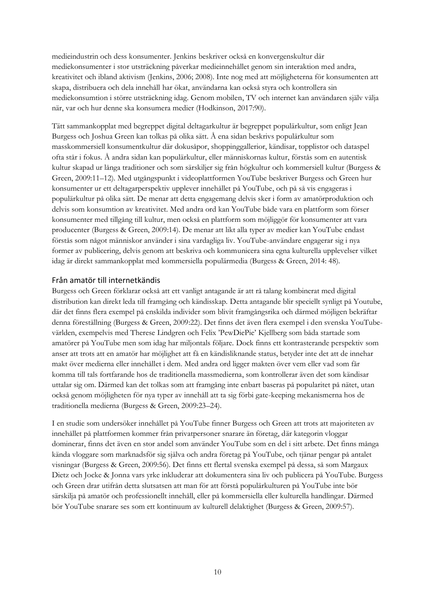medieindustrin och dess konsumenter. Jenkins beskriver också en konvergenskultur där mediekonsumenter i stor utsträckning påverkar medieinnehållet genom sin interaktion med andra, kreativitet och ibland aktivism (Jenkins, 2006; 2008). Inte nog med att möjligheterna för konsumenten att skapa, distribuera och dela innehåll har ökat, användarna kan också styra och kontrollera sin mediekonsumtion i större utsträckning idag. Genom mobilen, TV och internet kan användaren själv välja när, var och hur denne ska konsumera medier (Hodkinson, 2017:90).

Tätt sammankopplat med begreppet digital deltagarkultur är begreppet populärkultur, som enligt Jean Burgess och Joshua Green kan tolkas på olika sätt. Å ena sidan beskrivs populärkultur som masskommersiell konsumentkultur där dokusåpor, shoppinggallerior, kändisar, topplistor och dataspel ofta står i fokus. Å andra sidan kan populärkultur, eller människornas kultur, förstås som en autentisk kultur skapad ur långa traditioner och som särskiljer sig från högkultur och kommersiell kultur (Burgess & Green, 2009:11–12). Med utgångspunkt i videoplattformen YouTube beskriver Burgess och Green hur konsumenter ur ett deltagarperspektiv upplever innehållet på YouTube, och på så vis engageras i populärkultur på olika sätt. De menar att detta engagemang delvis sker i form av amatörproduktion och delvis som konsumtion av kreativitet. Med andra ord kan YouTube både vara en plattform som förser konsumenter med tillgång till kultur, men också en plattform som möjliggör för konsumenter att vara producenter (Burgess & Green, 2009:14). De menar att likt alla typer av medier kan YouTube endast förstås som något människor använder i sina vardagliga liv. YouTube-användare engagerar sig i nya former av publicering, delvis genom att beskriva och kommunicera sina egna kulturella upplevelser vilket idag är direkt sammankopplat med kommersiella populärmedia (Burgess & Green, 2014: 48).

#### <span id="page-15-0"></span>Från amatör till internetkändis

Burgess och Green förklarar också att ett vanligt antagande är att rå talang kombinerat med digital distribution kan direkt leda till framgång och kändisskap. Detta antagande blir speciellt synligt på Youtube, där det finns flera exempel på enskilda individer som blivit framgångsrika och därmed möjligen bekräftar denna föreställning (Burgess & Green, 2009:22). Det finns det även flera exempel i den svenska YouTubevärlden, exempelvis med Therese Lindgren och Felix 'PewDiePie' Kjellberg som båda startade som amatörer på YouTube men som idag har miljontals följare. Dock finns ett kontrasterande perspektiv som anser att trots att en amatör har möjlighet att få en kändisliknande status, betyder inte det att de innehar makt över medierna eller innehållet i dem. Med andra ord ligger makten över vem eller vad som får komma till tals fortfarande hos de traditionella massmedierna, som kontrollerar även det som kändisar uttalar sig om. Därmed kan det tolkas som att framgång inte enbart baseras på popularitet på nätet, utan också genom möjligheten för nya typer av innehåll att ta sig förbi gate-keeping mekanismerna hos de traditionella medierna (Burgess & Green, 2009:23–24).

I en studie som undersöker innehållet på YouTube finner Burgess och Green att trots att majoriteten av innehållet på plattformen kommer från privatpersoner snarare än företag, där kategorin vloggar dominerar, finns det även en stor andel som använder YouTube som en del i sitt arbete. Det finns många kända vloggare som marknadsför sig själva och andra företag på YouTube, och tjänar pengar på antalet visningar (Burgess & Green, 2009:56). Det finns ett flertal svenska exempel på dessa, så som Margaux Dietz och Jocke & Jonna vars yrke inkluderar att dokumentera sina liv och publicera på YouTube. Burgess och Green drar utifrån detta slutsatsen att man för att förstå populärkulturen på YouTube inte bör särskilja på amatör och professionellt innehåll, eller på kommersiella eller kulturella handlingar. Därmed bör YouTube snarare ses som ett kontinuum av kulturell delaktighet (Burgess & Green, 2009:57).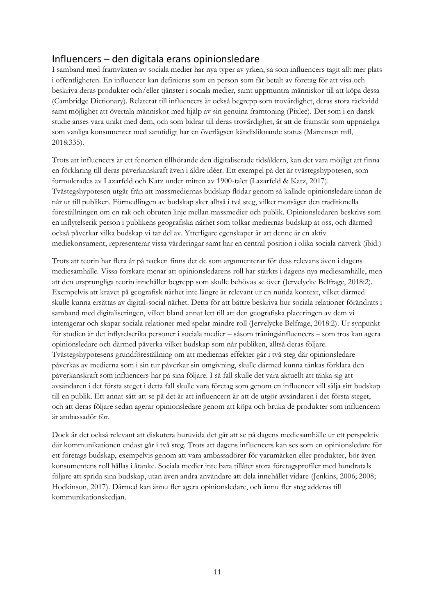# <span id="page-16-0"></span>Influencers – den digitala erans opinionsledare

I samband med framväxten av sociala medier har nya typer av yrken, så som influencers tagit allt mer plats i offentligheten. En influencer kan definieras som en person som får betalt av företag för att visa och beskriva deras produkter och/eller tjänster i sociala medier, samt uppmuntra människor till att köpa dessa (Cambridge Dictionary). Relaterat till influencers är också begrepp som trovärdighet, deras stora räckvidd samt möjlighet att övertala människor med hjälp av sin genuina framtoning (Pixlee). Det som i en dansk studie anses vara unikt med dem, och som bidrar till deras trovärdighet, är att de framstår som uppnåeliga som vanliga konsumenter med samtidigt har en överlägsen kändisliknande status (Martensen mfl, 2018:335).

Trots att influencers är ett fenomen tillhörande den digitaliserade tidsåldern, kan det vara möjligt att finna en förklaring till deras påverkanskraft även i äldre idéer. Ett exempel på det är tvåstegshypotesen, som formulerades av Lazarfeld och Katz under mitten av 1900-talet (Lazarfeld & Katz, 2017). Tvåstegshypotesen utgår från att massmediernas budskap flödar genom så kallade opinionsledare innan de når ut till publiken. Förmedlingen av budskap sker alltså i två steg, vilket motsäger den traditionella föreställningen om en rak och obruten linje mellan massmedier och publik. Opinionsledaren beskrivs som en inflytelserik person i publikens geografiska närhet som tolkar mediernas budskap åt oss, och därmed också påverkar vilka budskap vi tar del av. Ytterligare egenskaper är att denne är en aktiv mediekonsument, representerar vissa värderingar samt har en central position i olika sociala nätverk (ibid.)

Trots att teorin har flera år på nacken finns det de som argumenterar för dess relevans även i dagens mediesamhälle. Vissa forskare menar att opinionsledarens roll har stärkts i dagens nya mediesamhälle, men att den ursprungliga teorin innehåller begrepp som skulle behövas se över (Jervelycke Belfrage, 2018:2). Exempelvis att kravet på geografisk närhet inte längre är relevant ur en nutida kontext, vilket därmed skulle kunna ersättas av digital-social närhet. Detta för att bättre beskriva hur sociala relationer förändrats i samband med digitaliseringen, vilket bland annat lett till att den geografiska placeringen av dem vi interagerar och skapar sociala relationer med spelar mindre roll (Jervelycke Belfrage, 2018:2). Ur synpunkt för studien är det inflytelserika personer i sociala medier – såsom träningsinfluencers – som tros kan agera opinionsledare och därmed påverka vilket budskap som når publiken, alltså deras följare. Tvåstegshypotesens grundföreställning om att mediernas effekter går i två steg där opinionsledare påverkas av medierna som i sin tur påverkar sin omgivning, skulle därmed kunna tänkas förklara den påverkanskraft som influencers har på sina följare. I så fall skulle det vara aktuellt att tänka sig att avsändaren i det första steget i detta fall skulle vara företag som genom en influencer vill sälja sitt budskap till en publik. Ett annat sätt att se på det är att influencern är att de utgör avsändaren i det första steget, och att deras följare sedan agerar opinionsledare genom att köpa och bruka de produkter som influencern är ambassadör för.

Dock är det också relevant att diskutera huruvida det går att se på dagens mediesamhälle ur ett perspektiv där kommunikationen endast går i två steg. Trots att dagens influencers kan ses som en opinionsledare för ett företags budskap, exempelvis genom att vara ambassadörer för varumärken eller produkter, bör även konsumentens roll hållas i åtanke. Sociala medier inte bara tillåter stora företagsprofiler med hundratals följare att sprida sina budskap, utan även andra användare att dela innehållet vidare (Jenkins, 2006; 2008; Hodkinson, 2017). Därmed kan ännu fler agera opinionsledare, och ännu fler steg adderas till kommunikationskedjan.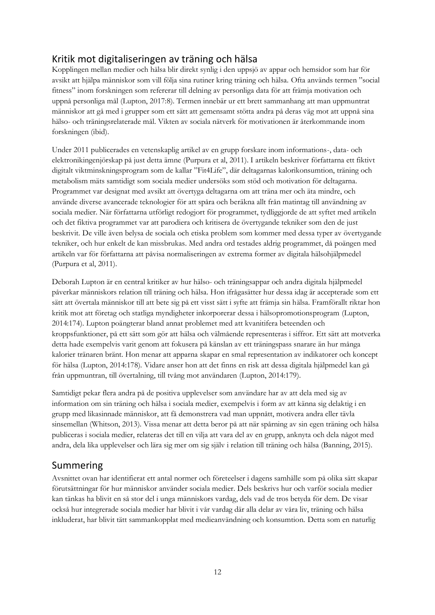# <span id="page-17-0"></span>Kritik mot digitaliseringen av träning och hälsa

Kopplingen mellan medier och hälsa blir direkt synlig i den uppsjö av appar och hemsidor som har för avsikt att hjälpa människor som vill följa sina rutiner kring träning och hälsa. Ofta används termen "social fitness" inom forskningen som refererar till delning av personliga data för att främja motivation och uppnå personliga mål (Lupton, 2017:8). Termen innebär ur ett brett sammanhang att man uppmuntrat människor att gå med i grupper som ett sätt att gemensamt stötta andra på deras väg mot att uppnå sina hälso- och träningsrelaterade mål. Vikten av sociala nätverk för motivationen är återkommande inom forskningen (ibid).

Under 2011 publicerades en vetenskaplig artikel av en grupp forskare inom informations-, data- och elektronikingenjörskap på just detta ämne (Purpura et al, 2011). I artikeln beskriver författarna ett fiktivt digitalt viktminskningsprogram som de kallar "Fit4Life", där deltagarnas kalorikonsumtion, träning och metabolism mäts samtidigt som sociala medier undersöks som stöd och motivation för deltagarna. Programmet var designat med avsikt att övertyga deltagarna om att träna mer och äta mindre, och använde diverse avancerade teknologier för att spåra och beräkna allt från matintag till användning av sociala medier. När författarna utförligt redogjort för programmet, tydliggjorde de att syftet med artikeln och det fiktiva programmet var att parodiera och kritisera de övertygande tekniker som den de just beskrivit. De ville även belysa de sociala och etiska problem som kommer med dessa typer av övertygande tekniker, och hur enkelt de kan missbrukas. Med andra ord testades aldrig programmet, då poängen med artikeln var för författarna att påvisa normaliseringen av extrema former av digitala hälsohjälpmedel (Purpura et al, 2011).

Deborah Lupton är en central kritiker av hur hälso- och träningsappar och andra digitala hjälpmedel påverkar människors relation till träning och hälsa. Hon ifrågasätter hur dessa idag är accepterade som ett sätt att övertala människor till att bete sig på ett visst sätt i syfte att främja sin hälsa. Framförallt riktar hon kritik mot att företag och statliga myndigheter inkorporerar dessa i hälsopromotionsprogram (Lupton, 2014:174). Lupton poängterar bland annat problemet med att kvanitifera beteenden och kroppsfunktioner, på ett sätt som gör att hälsa och välmående representeras i siffror. Ett sätt att motverka detta hade exempelvis varit genom att fokusera på känslan av ett träningspass snarare än hur många kalorier tränaren bränt. Hon menar att apparna skapar en smal representation av indikatorer och koncept för hälsa (Lupton, 2014:178). Vidare anser hon att det finns en risk att dessa digitala hjälpmedel kan gå från uppmuntran, till övertalning, till tvång mot användaren (Lupton, 2014:179).

Samtidigt pekar flera andra på de positiva upplevelser som användare har av att dela med sig av information om sin träning och hälsa i sociala medier, exempelvis i form av att känna sig delaktig i en grupp med likasinnade människor, att få demonstrera vad man uppnått, motivera andra eller tävla sinsemellan (Whitson, 2013). Vissa menar att detta beror på att när spårning av sin egen träning och hälsa publiceras i sociala medier, relateras det till en vilja att vara del av en grupp, anknyta och dela något med andra, dela lika upplevelser och lära sig mer om sig själv i relation till träning och hälsa (Banning, 2015).

### <span id="page-17-1"></span>Summering

Avsnittet ovan har identifierat ett antal normer och företeelser i dagens samhälle som på olika sätt skapar förutsättningar för hur människor använder sociala medier. Dels beskrivs hur och varför sociala medier kan tänkas ha blivit en så stor del i unga människors vardag, dels vad de tros betyda för dem. De visar också hur integrerade sociala medier har blivit i vår vardag där alla delar av våra liv, träning och hälsa inkluderat, har blivit tätt sammankopplat med medieanvändning och konsumtion. Detta som en naturlig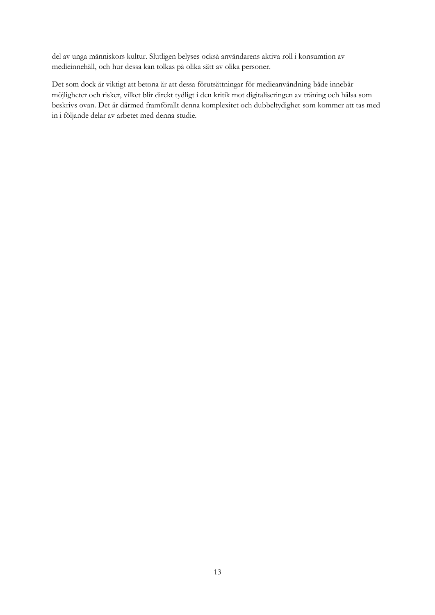del av unga människors kultur. Slutligen belyses också användarens aktiva roll i konsumtion av medieinnehåll, och hur dessa kan tolkas på olika sätt av olika personer.

Det som dock är viktigt att betona är att dessa förutsättningar för medieanvändning både innebär möjligheter och risker, vilket blir direkt tydligt i den kritik mot digitaliseringen av träning och hälsa som beskrivs ovan. Det är därmed framförallt denna komplexitet och dubbeltydighet som kommer att tas med in i följande delar av arbetet med denna studie.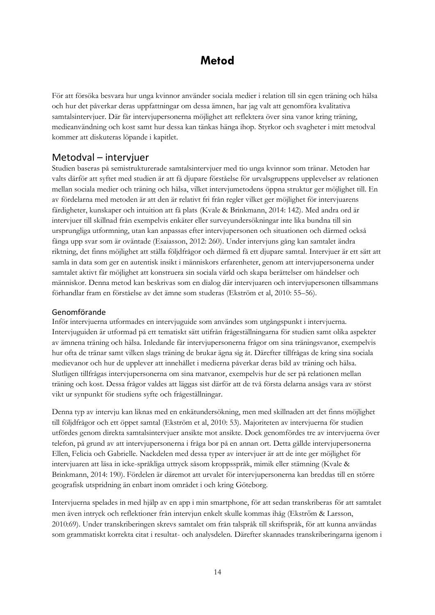# **Metod**

<span id="page-19-0"></span>För att försöka besvara hur unga kvinnor använder sociala medier i relation till sin egen träning och hälsa och hur det påverkar deras uppfattningar om dessa ämnen, har jag valt att genomföra kvalitativa samtalsintervjuer. Där får intervjupersonerna möjlighet att reflektera över sina vanor kring träning, medieanvändning och kost samt hur dessa kan tänkas hänga ihop. Styrkor och svagheter i mitt metodval kommer att diskuteras löpande i kapitlet.

### <span id="page-19-1"></span>Metodval – intervjuer

Studien baseras på semistrukturerade samtalsintervjuer med tio unga kvinnor som tränar. Metoden har valts därför att syftet med studien är att få djupare förståelse för urvalsgruppens upplevelser av relationen mellan sociala medier och träning och hälsa, vilket intervjumetodens öppna struktur ger möjlighet till. En av fördelarna med metoden är att den är relativt fri från regler vilket ger möjlighet för intervjuarens färdigheter, kunskaper och intuition att få plats (Kvale & Brinkmann, 2014: 142). Med andra ord är intervjuer till skillnad från exempelvis enkäter eller surveyundersökningar inte lika bundna till sin ursprungliga utformning, utan kan anpassas efter intervjupersonen och situationen och därmed också fånga upp svar som är oväntade (Esaiasson, 2012: 260). Under intervjuns gång kan samtalet ändra riktning, det finns möjlighet att ställa följdfrågor och därmed få ett djupare samtal. Intervjuer är ett sätt att samla in data som ger en autentisk insikt i människors erfarenheter, genom att intervjupersonerna under samtalet aktivt får möjlighet att konstruera sin sociala värld och skapa berättelser om händelser och människor. Denna metod kan beskrivas som en dialog där intervjuaren och intervjupersonen tillsammans förhandlar fram en förståelse av det ämne som studeras (Ekström et al, 2010: 55–56).

### <span id="page-19-2"></span>Genomförande

Inför intervjuerna utformades en intervjuguide som användes som utgångspunkt i intervjuerna. Intervjuguiden är utformad på ett tematiskt sätt utifrån frågeställningarna för studien samt olika aspekter av ämnena träning och hälsa. Inledande får intervjupersonerna frågor om sina träningsvanor, exempelvis hur ofta de tränar samt vilken slags träning de brukar ägna sig åt. Därefter tillfrågas de kring sina sociala medievanor och hur de upplever att innehållet i medierna påverkar deras bild av träning och hälsa. Slutligen tillfrågas intervjupersonerna om sina matvanor, exempelvis hur de ser på relationen mellan träning och kost. Dessa frågor valdes att läggas sist därför att de två första delarna ansågs vara av störst vikt ur synpunkt för studiens syfte och frågeställningar.

Denna typ av intervju kan liknas med en enkätundersökning, men med skillnaden att det finns möjlighet till följdfrågor och ett öppet samtal (Ekström et al, 2010: 53). Majoriteten av intervjuerna för studien utfördes genom direkta samtalsintervjuer ansikte mot ansikte. Dock genomfördes tre av intervjuerna över telefon, på grund av att intervjupersonerna i fråga bor på en annan ort. Detta gällde intervjupersonerna Ellen, Felicia och Gabrielle. Nackdelen med dessa typer av intervjuer är att de inte ger möjlighet för intervjuaren att läsa in icke-språkliga uttryck såsom kroppsspråk, mimik eller stämning (Kvale & Brinkmann, 2014: 190). Fördelen är däremot att urvalet för intervjupersonerna kan breddas till en större geografisk utspridning än enbart inom området i och kring Göteborg.

Intervjuerna spelades in med hjälp av en app i min smartphone, för att sedan transkriberas för att samtalet men även intryck och reflektioner från intervjun enkelt skulle kommas ihåg (Ekström & Larsson, 2010:69). Under transkriberingen skrevs samtalet om från talspråk till skriftspråk, för att kunna användas som grammatiskt korrekta citat i resultat- och analysdelen. Därefter skannades transkriberingarna igenom i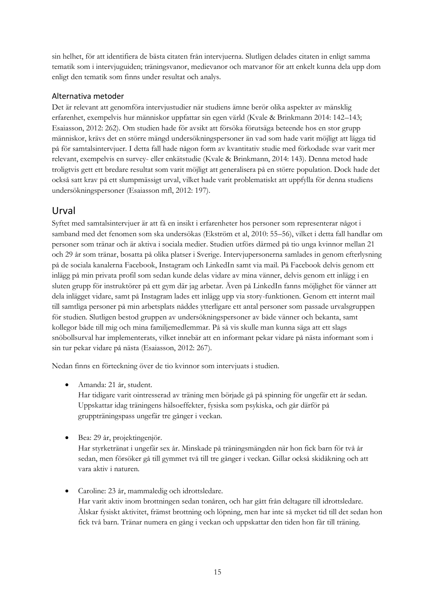sin helhet, för att identifiera de bästa citaten från intervjuerna. Slutligen delades citaten in enligt samma tematik som i intervjuguiden; träningsvanor, medievanor och matvanor för att enkelt kunna dela upp dom enligt den tematik som finns under resultat och analys.

### <span id="page-20-0"></span>Alternativa metoder

Det är relevant att genomföra intervjustudier när studiens ämne berör olika aspekter av mänsklig erfarenhet, exempelvis hur människor uppfattar sin egen värld (Kvale & Brinkmann 2014: 142–143; Esaiasson, 2012: 262). Om studien hade för avsikt att försöka förutsäga beteende hos en stor grupp människor, krävs det en större mängd undersökningspersoner än vad som hade varit möjligt att lägga tid på för samtalsintervjuer. I detta fall hade någon form av kvantitativ studie med förkodade svar varit mer relevant, exempelvis en survey- eller enkätstudie (Kvale & Brinkmann, 2014: 143). Denna metod hade troligtvis gett ett bredare resultat som varit möjligt att generalisera på en större population. Dock hade det också satt krav på ett slumpmässigt urval, vilket hade varit problematiskt att uppfylla för denna studiens undersökningspersoner (Esaiasson mfl, 2012: 197).

# <span id="page-20-1"></span>Urval

Syftet med samtalsintervjuer är att få en insikt i erfarenheter hos personer som representerar något i samband med det fenomen som ska undersökas (Ekström et al, 2010: 55–56), vilket i detta fall handlar om personer som tränar och är aktiva i sociala medier. Studien utförs därmed på tio unga kvinnor mellan 21 och 29 år som tränar, bosatta på olika platser i Sverige. Intervjupersonerna samlades in genom efterlysning på de sociala kanalerna Facebook, Instagram och LinkedIn samt via mail. På Facebook delvis genom ett inlägg på min privata profil som sedan kunde delas vidare av mina vänner, delvis genom ett inlägg i en sluten grupp för instruktörer på ett gym där jag arbetar. Även på LinkedIn fanns möjlighet för vänner att dela inlägget vidare, samt på Instagram lades ett inlägg upp via story-funktionen. Genom ett internt mail till samtliga personer på min arbetsplats nåddes ytterligare ett antal personer som passade urvalsgruppen för studien. Slutligen bestod gruppen av undersökningspersoner av både vänner och bekanta, samt kollegor både till mig och mina familjemedlemmar. På så vis skulle man kunna säga att ett slags snöbollsurval har implementerats, vilket innebär att en informant pekar vidare på nästa informant som i sin tur pekar vidare på nästa (Esaiasson, 2012: 267).

Nedan finns en förteckning över de tio kvinnor som intervjuats i studien.

• Amanda: 21 år, student.

Har tidigare varit ointresserad av träning men började gå på spinning för ungefär ett år sedan. Uppskattar idag träningens hälsoeffekter, fysiska som psykiska, och går därför på gruppträningspass ungefär tre gånger i veckan.

• Bea: 29 år, projektingenjör.

Har styrketränat i ungefär sex år. Minskade på träningsmängden när hon fick barn för två år sedan, men försöker gå till gymmet två till tre gånger i veckan. Gillar också skidåkning och att vara aktiv i naturen.

• Caroline: 23 år, mammaledig och idrottsledare. Har varit aktiv inom brottningen sedan tonåren, och har gått från deltagare till idrottsledare. Älskar fysiskt aktivitet, främst brottning och löpning, men har inte så mycket tid till det sedan hon fick två barn. Tränar numera en gång i veckan och uppskattar den tiden hon får till träning.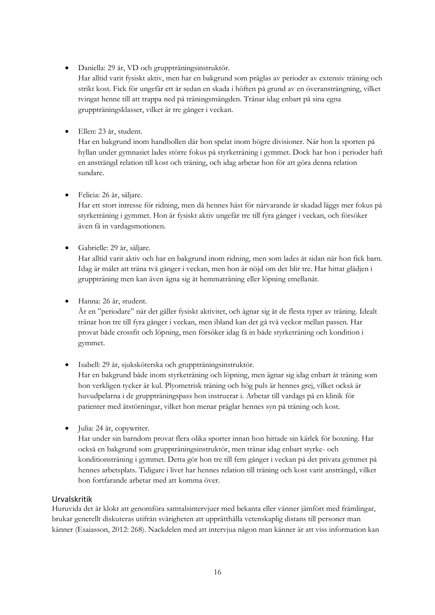• Daniella: 29 år, VD och gruppträningsinstruktör.

Har alltid varit fysiskt aktiv, men har en bakgrund som präglas av perioder av extensiv träning och strikt kost. Fick för ungefär ett år sedan en skada i höften på grund av en överansträngning, vilket tvingat henne till att trappa ned på träningsmängden. Tränar idag enbart på sina egna gruppträningsklasser, vilket är tre gånger i veckan.

• Ellen: 23 år, student.

Har en bakgrund inom handbollen där hon spelat inom högre divisioner. När hon la sporten på hyllan under gymnasiet lades större fokus på styrketräning i gymmet. Dock har hon i perioder haft en ansträngd relation till kost och träning, och idag arbetar hon för att göra denna relation sundare.

• Felicia: 26 år, säljare.

Har ett stort intresse för ridning, men då hennes häst för närvarande är skadad läggs mer fokus på styrketräning i gymmet. Hon är fysiskt aktiv ungefär tre till fyra gånger i veckan, och försöker även få in vardagsmotionen.

• Gabrielle: 29 år, säljare.

Har alltid varit aktiv och har en bakgrund inom ridning, men som lades åt sidan när hon fick barn. Idag är målet att träna två gånger i veckan, men hon är nöjd om det blir tre. Har hittat glädjen i gruppträning men kan även ägna sig åt hemmaträning eller löpning emellanåt.

• Hanna: 26 år, student.

Är en "periodare" när det gäller fysiskt aktivitet, och ägnar sig åt de flesta typer av träning. Idealt tränar hon tre till fyra gånger i veckan, men ibland kan det gå två veckor mellan passen. Har provat både crossfit och löpning, men försöker idag få in både styrketräning och kondition i gymmet.

• Isabell: 29 år, sjuksköterska och gruppträningsinstruktör.

Har en bakgrund både inom styrketräning och löpning, men ägnar sig idag enbart åt träning som hon verkligen tycker är kul. Plyometrisk träning och hög puls är hennes grej, vilket också är huvudpelarna i de gruppträningspass hon instruerar i. Arbetar till vardags på en klinik för patienter med ätstörningar, vilket hon menar präglar hennes syn på träning och kost.

• Julia: 24 år, copywriter.

Har under sin barndom provat flera olika sporter innan hon hittade sin kärlek för boxning. Har också en bakgrund som gruppträningsinstruktör, men tränar idag enbart styrke- och konditionsträning i gymmet. Detta gör hon tre till fem gånger i veckan på det privata gymmet på hennes arbetsplats. Tidigare i livet har hennes relation till träning och kost varit ansträngd, vilket hon fortfarande arbetar med att komma över.

### <span id="page-21-0"></span>Urvalskritik

Huruvida det är klokt att genomföra samtalsintervjuer med bekanta eller vänner jämfört med främlingar, brukar generellt diskuteras utifrån svårigheten att upprätthålla vetenskaplig distans till personer man känner (Esaiasson, 2012: 268). Nackdelen med att intervjua någon man känner är att viss information kan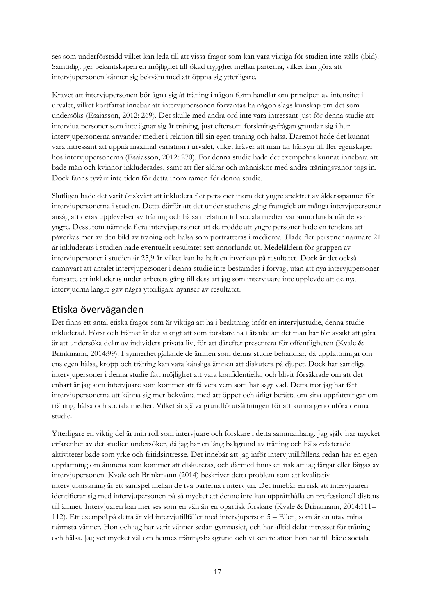ses som underförstådd vilket kan leda till att vissa frågor som kan vara viktiga för studien inte ställs (ibid). Samtidigt ger bekantskapen en möjlighet till ökad trygghet mellan parterna, vilket kan göra att intervjupersonen känner sig bekväm med att öppna sig ytterligare.

Kravet att intervjupersonen bör ägna sig åt träning i någon form handlar om principen av intensitet i urvalet, vilket kortfattat innebär att intervjupersonen förväntas ha någon slags kunskap om det som undersöks (Esaiasson, 2012: 269). Det skulle med andra ord inte vara intressant just för denna studie att intervjua personer som inte ägnar sig åt träning, just eftersom forskningsfrågan grundar sig i hur intervjupersonerna använder medier i relation till sin egen träning och hälsa. Däremot hade det kunnat vara intressant att uppnå maximal variation i urvalet, vilket kräver att man tar hänsyn till fler egenskaper hos intervjupersonerna (Esaiasson, 2012: 270). För denna studie hade det exempelvis kunnat innebära att både män och kvinnor inkluderades, samt att fler åldrar och människor med andra träningsvanor togs in. Dock fanns tyvärr inte tiden för detta inom ramen för denna studie.

Slutligen hade det varit önskvärt att inkludera fler personer inom det yngre spektret av åldersspannet för intervjupersonerna i studien. Detta därför att det under studiens gång framgick att många intervjupersoner ansåg att deras upplevelser av träning och hälsa i relation till sociala medier var annorlunda när de var yngre. Dessutom nämnde flera intervjupersoner att de trodde att yngre personer hade en tendens att påverkas mer av den bild av träning och hälsa som porträtteras i medierna. Hade fler personer närmare 21 år inkluderats i studien hade eventuellt resultatet sett annorlunda ut. Medelåldern för gruppen av intervjupersoner i studien är 25,9 år vilket kan ha haft en inverkan på resultatet. Dock är det också nämnvärt att antalet intervjupersoner i denna studie inte bestämdes i förväg, utan att nya intervjupersoner fortsatte att inkluderas under arbetets gång till dess att jag som intervjuare inte upplevde att de nya intervjuerna längre gav några ytterligare nyanser av resultatet.

### <span id="page-22-0"></span>Etiska överväganden

Det finns ett antal etiska frågor som är viktiga att ha i beaktning inför en intervjustudie, denna studie inkluderad. Först och främst är det viktigt att som forskare ha i åtanke att det man har för avsikt att göra är att undersöka delar av individers privata liv, för att därefter presentera för offentligheten (Kvale & Brinkmann, 2014:99). I synnerhet gällande de ämnen som denna studie behandlar, då uppfattningar om ens egen hälsa, kropp och träning kan vara känsliga ämnen att diskutera på djupet. Dock har samtliga intervjupersoner i denna studie fått möjlighet att vara konfidentiella, och blivit försäkrade om att det enbart är jag som intervjuare som kommer att få veta vem som har sagt vad. Detta tror jag har fått intervjupersonerna att känna sig mer bekväma med att öppet och ärligt berätta om sina uppfattningar om träning, hälsa och sociala medier. Vilket är själva grundförutsättningen för att kunna genomföra denna studie.

Ytterligare en viktig del är min roll som intervjuare och forskare i detta sammanhang. Jag själv har mycket erfarenhet av det studien undersöker, då jag har en lång bakgrund av träning och hälsorelaterade aktiviteter både som yrke och fritidsintresse. Det innebär att jag inför intervjutillfällena redan har en egen uppfattning om ämnena som kommer att diskuteras, och därmed finns en risk att jag färgar eller färgas av intervjupersonen. Kvale och Brinkmann (2014) beskriver detta problem som att kvalitativ intervjuforskning är ett samspel mellan de två parterna i intervjun. Det innebär en risk att intervjuaren identifierar sig med intervjupersonen på så mycket att denne inte kan upprätthålla en professionell distans till ämnet. Intervjuaren kan mer ses som en vän än en opartisk forskare (Kvale & Brinkmann, 2014:111– 112). Ett exempel på detta är vid intervjutillfället med intervjuperson 5 – Ellen, som är en utav mina närmsta vänner. Hon och jag har varit vänner sedan gymnasiet, och har alltid delat intresset för träning och hälsa. Jag vet mycket väl om hennes träningsbakgrund och vilken relation hon har till både sociala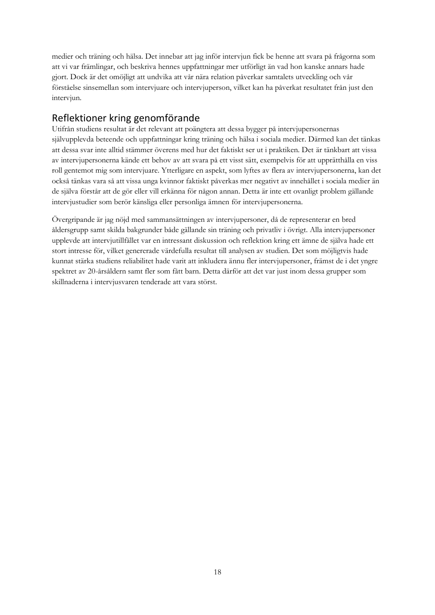medier och träning och hälsa. Det innebar att jag inför intervjun fick be henne att svara på frågorna som att vi var främlingar, och beskriva hennes uppfattningar mer utförligt än vad hon kanske annars hade gjort. Dock är det omöjligt att undvika att vår nära relation påverkar samtalets utveckling och vår förståelse sinsemellan som intervjuare och intervjuperson, vilket kan ha påverkat resultatet från just den intervjun.

# <span id="page-23-0"></span>Reflektioner kring genomförande

Utifrån studiens resultat är det relevant att poängtera att dessa bygger på intervjupersonernas självupplevda beteende och uppfattningar kring träning och hälsa i sociala medier. Därmed kan det tänkas att dessa svar inte alltid stämmer överens med hur det faktiskt ser ut i praktiken. Det är tänkbart att vissa av intervjupersonerna kände ett behov av att svara på ett visst sätt, exempelvis för att upprätthålla en viss roll gentemot mig som intervjuare. Ytterligare en aspekt, som lyftes av flera av intervjupersonerna, kan det också tänkas vara så att vissa unga kvinnor faktiskt påverkas mer negativt av innehållet i sociala medier än de själva förstår att de gör eller vill erkänna för någon annan. Detta är inte ett ovanligt problem gällande intervjustudier som berör känsliga eller personliga ämnen för intervjupersonerna.

Övergripande är jag nöjd med sammansättningen av intervjupersoner, då de representerar en bred åldersgrupp samt skilda bakgrunder både gällande sin träning och privatliv i övrigt. Alla intervjupersoner upplevde att intervjutillfället var en intressant diskussion och reflektion kring ett ämne de själva hade ett stort intresse för, vilket genererade värdefulla resultat till analysen av studien. Det som möjligtvis hade kunnat stärka studiens reliabilitet hade varit att inkludera ännu fler intervjupersoner, främst de i det yngre spektret av 20-årsåldern samt fler som fått barn. Detta därför att det var just inom dessa grupper som skillnaderna i intervjusvaren tenderade att vara störst.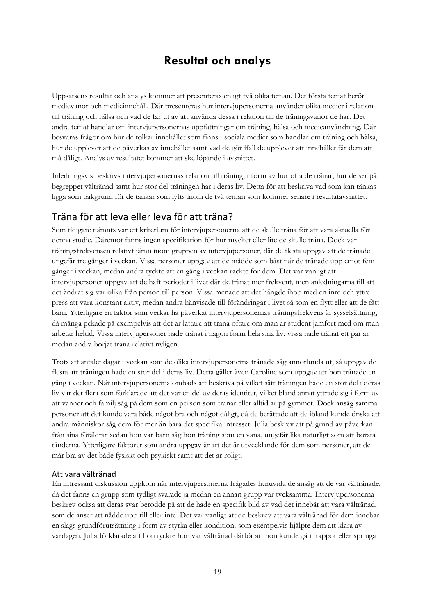# **Resultat och analys**

<span id="page-24-0"></span>Uppsatsens resultat och analys kommer att presenteras enligt två olika teman. Det första temat berör medievanor och medieinnehåll. Där presenteras hur intervjupersonerna använder olika medier i relation till träning och hälsa och vad de får ut av att använda dessa i relation till de träningsvanor de har. Det andra temat handlar om intervjupersonernas uppfattningar om träning, hälsa och medieanvändning. Där besvaras frågor om hur de tolkar innehållet som finns i sociala medier som handlar om träning och hälsa, hur de upplever att de påverkas av innehållet samt vad de gör ifall de upplever att innehållet får dem att må dåligt. Analys av resultatet kommer att ske löpande i avsnittet.

Inledningsvis beskrivs intervjupersonernas relation till träning, i form av hur ofta de tränar, hur de ser på begreppet vältränad samt hur stor del träningen har i deras liv. Detta för att beskriva vad som kan tänkas ligga som bakgrund för de tankar som lyfts inom de två teman som kommer senare i resultatavsnittet.

# <span id="page-24-1"></span>Träna för att leva eller leva för att träna?

Som tidigare nämnts var ett kriterium för intervjupersonerna att de skulle träna för att vara aktuella för denna studie. Däremot fanns ingen specifikation för hur mycket eller lite de skulle träna. Dock var träningsfrekvensen relativt jämn inom gruppen av intervjupersoner, där de flesta uppgav att de tränade ungefär tre gånger i veckan. Vissa personer uppgav att de mådde som bäst när de tränade upp emot fem gånger i veckan, medan andra tyckte att en gång i veckan räckte för dem. Det var vanligt att intervjupersoner uppgav att de haft perioder i livet där de tränat mer frekvent, men anledningarna till att det ändrat sig var olika från person till person. Vissa menade att det hängde ihop med en inre och yttre press att vara konstant aktiv, medan andra hänvisade till förändringar i livet så som en flytt eller att de fått barn. Ytterligare en faktor som verkar ha påverkat intervjupersonernas träningsfrekvens är sysselsättning, då många pekade på exempelvis att det är lättare att träna oftare om man är student jämfört med om man arbetar heltid. Vissa intervjupersoner hade tränat i någon form hela sina liv, vissa hade tränat ett par år medan andra börjat träna relativt nyligen.

Trots att antalet dagar i veckan som de olika intervjupersonerna tränade såg annorlunda ut, så uppgav de flesta att träningen hade en stor del i deras liv. Detta gäller även Caroline som uppgav att hon tränade en gång i veckan. När intervjupersonerna ombads att beskriva på vilket sätt träningen hade en stor del i deras liv var det flera som förklarade att det var en del av deras identitet, vilket bland annat yttrade sig i form av att vänner och familj såg på dem som en person som tränar eller alltid är på gymmet. Dock ansåg samma personer att det kunde vara både något bra och något dåligt, då de berättade att de ibland kunde önska att andra människor såg dem för mer än bara det specifika intresset. Julia beskrev att på grund av påverkan från sina föräldrar sedan hon var barn såg hon träning som en vana, ungefär lika naturligt som att borsta tänderna. Ytterligare faktorer som andra uppgav är att det är utvecklande för dem som personer, att de mår bra av det både fysiskt och psykiskt samt att det är roligt.

#### <span id="page-24-2"></span>Att vara vältränad

En intressant diskussion uppkom när intervjupersonerna frågades huruvida de ansåg att de var vältränade, då det fanns en grupp som tydligt svarade ja medan en annan grupp var tveksamma. Intervjupersonerna beskrev också att deras svar berodde på att de hade en specifik bild av vad det innebär att vara vältränad, som de anser att nådde upp till eller inte. Det var vanligt att de beskrev att vara vältränad för dem innebar en slags grundförutsättning i form av styrka eller kondition, som exempelvis hjälpte dem att klara av vardagen. Julia förklarade att hon tyckte hon var vältränad därför att hon kunde gå i trappor eller springa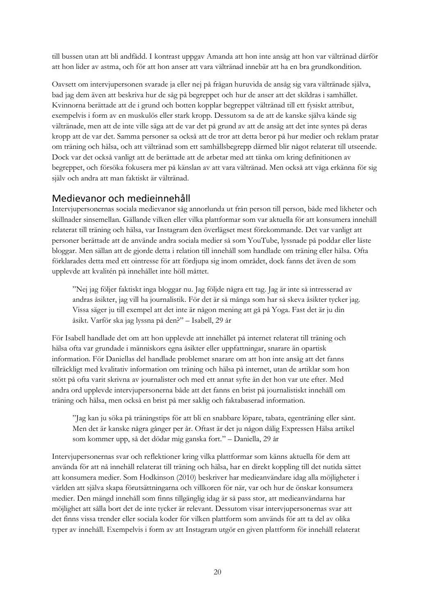till bussen utan att bli andfådd. I kontrast uppgav Amanda att hon inte ansåg att hon var vältränad därför att hon lider av astma, och för att hon anser att vara vältränad innebär att ha en bra grundkondition.

Oavsett om intervjupersonen svarade ja eller nej på frågan huruvida de ansåg sig vara vältränade själva, bad jag dem även att beskriva hur de såg på begreppet och hur de anser att det skildras i samhället. Kvinnorna berättade att de i grund och botten kopplar begreppet vältränad till ett fysiskt attribut, exempelvis i form av en muskulös eller stark kropp. Dessutom sa de att de kanske själva kände sig vältränade, men att de inte ville säga att de var det på grund av att de ansåg att det inte syntes på deras kropp att de var det. Samma personer sa också att de tror att detta beror på hur medier och reklam pratar om träning och hälsa, och att vältränad som ett samhällsbegrepp därmed blir något relaterat till utseende. Dock var det också vanligt att de berättade att de arbetar med att tänka om kring definitionen av begreppet, och försöka fokusera mer på känslan av att vara vältränad. Men också att våga erkänna för sig själv och andra att man faktiskt är vältränad.

### <span id="page-25-0"></span>Medievanor och medieinnehåll

Intervjupersonernas sociala medievanor såg annorlunda ut från person till person, både med likheter och skillnader sinsemellan. Gällande vilken eller vilka plattformar som var aktuella för att konsumera innehåll relaterat till träning och hälsa, var Instagram den överlägset mest förekommande. Det var vanligt att personer berättade att de använde andra sociala medier så som YouTube, lyssnade på poddar eller läste bloggar. Men sällan att de gjorde detta i relation till innehåll som handlade om träning eller hälsa. Ofta förklarades detta med ett ointresse för att fördjupa sig inom området, dock fanns det även de som upplevde att kvalitén på innehållet inte höll måttet.

"Nej jag följer faktiskt inga bloggar nu. Jag följde några ett tag. Jag är inte så intresserad av andras åsikter, jag vill ha journalistik. För det är så många som har så skeva åsikter tycker jag. Vissa säger ju till exempel att det inte är någon mening att gå på Yoga. Fast det är ju din åsikt. Varför ska jag lyssna på den?" – Isabell, 29 år

För Isabell handlade det om att hon upplevde att innehållet på internet relaterat till träning och hälsa ofta var grundade i människors egna åsikter eller uppfattningar, snarare än opartisk information. För Daniellas del handlade problemet snarare om att hon inte ansåg att det fanns tillräckligt med kvalitativ information om träning och hälsa på internet, utan de artiklar som hon stött på ofta varit skrivna av journalister och med ett annat syfte än det hon var ute efter. Med andra ord upplevde intervjupersonerna både att det fanns en brist på journalistiskt innehåll om träning och hälsa, men också en brist på mer saklig och faktabaserad information.

"Jag kan ju söka på träningstips för att bli en snabbare löpare, tabata, egenträning eller sånt. Men det är kanske några gånger per år. Oftast är det ju någon dålig Expressen Hälsa artikel som kommer upp, så det dödar mig ganska fort." – Daniella, 29 år

Intervjupersonernas svar och reflektioner kring vilka plattformar som känns aktuella för dem att använda för att nå innehåll relaterat till träning och hälsa, har en direkt koppling till det nutida sättet att konsumera medier. Som Hodkinson (2010) beskriver har medieanvändare idag alla möjligheter i världen att själva skapa förutsättningarna och villkoren för när, var och hur de önskar konsumera medier. Den mängd innehåll som finns tillgänglig idag är så pass stor, att medieanvändarna har möjlighet att sålla bort det de inte tycker är relevant. Dessutom visar intervjupersonernas svar att det finns vissa trender eller sociala koder för vilken plattform som används för att ta del av olika typer av innehåll. Exempelvis i form av att Instagram utgör en given plattform för innehåll relaterat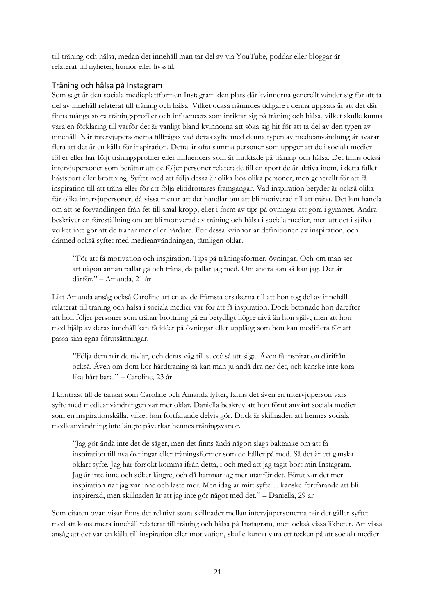till träning och hälsa, medan det innehåll man tar del av via YouTube, poddar eller bloggar är relaterat till nyheter, humor eller livsstil.

### <span id="page-26-0"></span>Träning och hälsa på Instagram

Som sagt är den sociala medieplattformen Instagram den plats där kvinnorna generellt vänder sig för att ta del av innehåll relaterat till träning och hälsa. Vilket också nämndes tidigare i denna uppsats är att det där finns många stora träningsprofiler och influencers som inriktar sig på träning och hälsa, vilket skulle kunna vara en förklaring till varför det är vanligt bland kvinnorna att söka sig hit för att ta del av den typen av innehåll. När intervjupersonerna tillfrågas vad deras syfte med denna typen av medieanvändning är svarar flera att det är en källa för inspiration. Detta är ofta samma personer som uppger att de i sociala medier följer eller har följt träningsprofiler eller influencers som är inriktade på träning och hälsa. Det finns också intervjupersoner som berättar att de följer personer relaterade till en sport de är aktiva inom, i detta fallet hästsport eller brottning. Syftet med att följa dessa är olika hos olika personer, men generellt för att få inspiration till att träna eller för att följa elitidrottares framgångar. Vad inspiration betyder är också olika för olika intervjupersoner, då vissa menar att det handlar om att bli motiverad till att träna. Det kan handla om att se förvandlingen från fet till smal kropp, eller i form av tips på övningar att göra i gymmet. Andra beskriver en föreställning om att bli motiverad av träning och hälsa i sociala medier, men att det i själva verket inte gör att de tränar mer eller hårdare. För dessa kvinnor är definitionen av inspiration, och därmed också syftet med medieanvändningen, tämligen oklar.

"För att få motivation och inspiration. Tips på träningsformer, övningar. Och om man ser att någon annan pallar gå och träna, då pallar jag med. Om andra kan så kan jag. Det är därför." – Amanda, 21 år

Likt Amanda ansåg också Caroline att en av de främsta orsakerna till att hon tog del av innehåll relaterat till träning och hälsa i sociala medier var för att få inspiration. Dock betonade hon därefter att hon följer personer som tränar brottning på en betydligt högre nivå än hon själv, men att hon med hjälp av deras innehåll kan få idéer på övningar eller upplägg som hon kan modifiera för att passa sina egna förutsättningar.

"Följa dem när de tävlar, och deras väg till succé så att säga. Även få inspiration därifrån också. Även om dom kör hårdträning så kan man ju ändå dra ner det, och kanske inte köra lika hårt bara." – Caroline, 23 år

I kontrast till de tankar som Caroline och Amanda lyfter, fanns det även en intervjuperson vars syfte med medieanvändningen var mer oklar. Daniella beskrev att hon förut använt sociala medier som en inspirationskälla, vilket hon fortfarande delvis gör. Dock är skillnaden att hennes sociala medieanvändning inte längre påverkar hennes träningsvanor.

"Jag gör ändå inte det de säger, men det finns ändå någon slags baktanke om att få inspiration till nya övningar eller träningsformer som de håller på med. Så det är ett ganska oklart syfte. Jag har försökt komma ifrån detta, i och med att jag tagit bort min Instagram. Jag är inte inne och söker längre, och då hamnar jag mer utanför det. Förut var det mer inspiration när jag var inne och läste mer. Men idag är mitt syfte… kanske fortfarande att bli inspirerad, men skillnaden är att jag inte gör något med det." – Daniella, 29 år

Som citaten ovan visar finns det relativt stora skillnader mellan intervjupersonerna när det gäller syftet med att konsumera innehåll relaterat till träning och hälsa på Instagram, men också vissa likheter. Att vissa ansåg att det var en källa till inspiration eller motivation, skulle kunna vara ett tecken på att sociala medier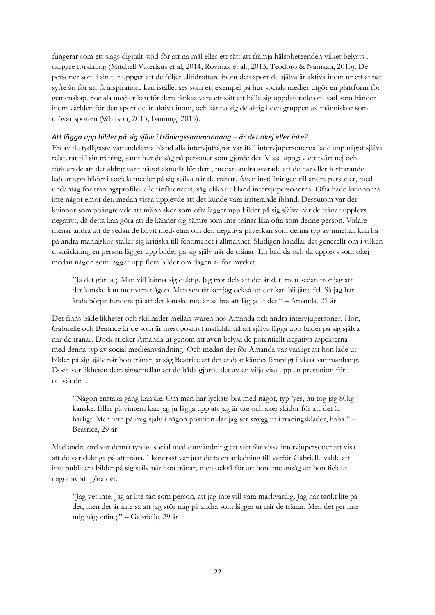fungerar som ett slags digitalt stöd för att nå mål eller ett sätt att främja hälsobeteenden vilket belysts i tidigare forskning (Mitchell Vaterlaus et al, 2014; Rovinak et al., 2013; Teodoro & Namaan, 2013). De personer som i sin tur uppger att de följer elitidrottare inom den sport de själva är aktiva inom ur ett annat syfte än för att få inspiration, kan istället ses som ett exempel på hur sociala medier utgör en plattform för gemenskap. Sociala medier kan för dem tänkas vara ett sätt att hålla sig uppdaterade om vad som händer inom världen för den sport de är aktiva inom, och känna sig delaktig i den gruppen av människor som utövar sporten (Whitson, 2013; Banning, 2015).

#### <span id="page-27-0"></span>*Att lägga upp bilder på sig själv i träningssammanhang – är det okej eller inte?*

En av de tydligaste vattendelarna bland alla intervjufrågor var ifall intervjupersonerna lade upp något själva relaterat till sin träning, samt hur de såg på personer som gjorde det. Vissa uppgav ett tvärt nej och förklarade att det aldrig varit något aktuellt för dem, medan andra svarade att de har eller fortfarande laddar upp bilder i sociala medier på sig själva när de tränar. Även inställningen till andra personer, med undantag för träningsprofiler eller influencers, såg olika ut bland intervjupersonerna. Ofta hade kvinnorna inte något emot det, medan vissa upplevde att det kunde vara irriterande ibland. Dessutom var det kvinnor som poängterade att människor som ofta lägger upp bilder på sig själva när de tränar upplevs negativt, då detta kan göra att de känner sig sämre som inte tränar lika ofta som denne person. Vidare menar andra att de sedan de blivit medvetna om den negativa påverkan som denna typ av innehåll kan ha på andra människor ställer sig kritiska till fenomenet i allmänhet. Slutligen handlar det generellt om i vilken utsträckning en person lägger upp bilder på sig själv när de tränar. En bild då och då upplevs som okej medan någon som lägger upp flera bilder om dagen är för mycket.

"Ja det gör jag. Man vill känna sig duktig. Jag tror dels att det är det, men sedan tror jag att det kanske kan motivera någon. Men sen tänker jag också att det kan bli jätte fel. Så jag har ändå börjat fundera på att det kanske inte är så bra att lägga ut det." – Amanda, 21 år

Det finns både likheter och skillnader mellan svaren hos Amanda och andra intervjupersoner. Hon, Gabrielle och Beatrice är de som är mest positivt inställda till att själva lägga upp bilder på sig själva när de tränar. Dock sticker Amanda ut genom att även belysa de potentiellt negativa aspekterna med denna typ av social medieanvändning. Och medan det för Amanda var vanligt att hon lade ut bilder på sig själv när hon tränar, ansåg Beatrice att det endast kändes lämpligt i vissa sammanhang. Dock var likheten dem sinsemellan att de båda gjorde det av en vilja visa upp en prestation för omvärlden.

"Någon enstaka gång kanske. Om man har lyckats bra med något, typ 'yes, nu tog jag 80kg' kanske. Eller på vintern kan jag ju lägga upp att jag är ute och åker skidor för att det är härligt. Men inte på mig själv i någon position där jag ser snygg ut i träningskläder, haha." – Beatrice, 29 år

Med andra ord var denna typ av social medieanvändning ett sätt för vissa intervjupersoner att visa att de var duktiga på att träna. I kontrast var just detta en anledning till varför Gabrielle valde att inte publicera bilder på sig själv när hon tränar, men också för att hon inte ansåg att hon fick ut något av att göra det.

"Jag vet inte. Jag är lite sån som person, att jag inte vill vara märkvärdig. Jag har tänkt lite på det, men det är inte så att jag stör mig på andra som lägger ut när de tränar. Men det ger inte mig någonting." – Gabrielle, 29 år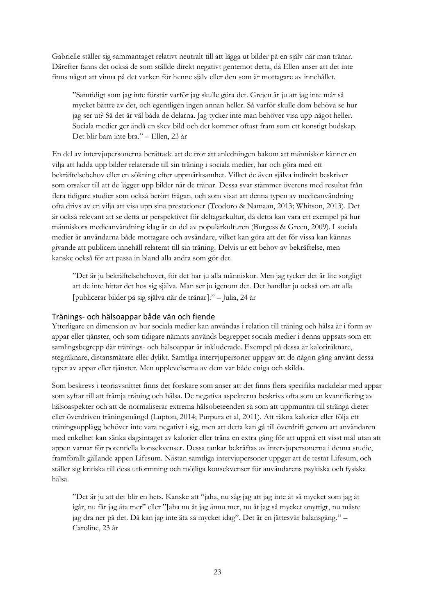Gabrielle ställer sig sammantaget relativt neutralt till att lägga ut bilder på en själv när man tränar. Därefter fanns det också de som ställde direkt negativt gentemot detta, då Ellen anser att det inte finns något att vinna på det varken för henne själv eller den som är mottagare av innehållet.

"Samtidigt som jag inte förstår varför jag skulle göra det. Grejen är ju att jag inte mår så mycket bättre av det, och egentligen ingen annan heller. Så varför skulle dom behöva se hur jag ser ut? Så det är väl båda de delarna. Jag tycker inte man behöver visa upp något heller. Sociala medier ger ändå en skev bild och det kommer oftast fram som ett konstigt budskap. Det blir bara inte bra." – Ellen, 23 år

En del av intervjupersonerna berättade att de tror att anledningen bakom att människor känner en vilja att ladda upp bilder relaterade till sin träning i sociala medier, har och göra med ett bekräftelsebehov eller en sökning efter uppmärksamhet. Vilket de även själva indirekt beskriver som orsaker till att de lägger upp bilder när de tränar. Dessa svar stämmer överens med resultat från flera tidigare studier som också berört frågan, och som visat att denna typen av medieanvändning ofta drivs av en vilja att visa upp sina prestationer (Teodoro & Namaan, 2013; Whitson, 2013). Det är också relevant att se detta ur perspektivet för deltagarkultur, då detta kan vara ett exempel på hur människors medieanvändning idag är en del av populärkulturen (Burgess & Green, 2009). I sociala medier är användarna både mottagare och avsändare, vilket kan göra att det för vissa kan kännas givande att publicera innehåll relaterat till sin träning. Delvis ur ett behov av bekräftelse, men kanske också för att passa in bland alla andra som gör det.

"Det är ju bekräftelsebehovet, för det har ju alla människor. Men jag tycker det är lite sorgligt att de inte hittar det hos sig själva. Man ser ju igenom det. Det handlar ju också om att alla publicerar bilder på sig själva när de tränar." – Julia, 24 år

#### <span id="page-28-0"></span>Tränings- och hälsoappar både vän och fiende

Ytterligare en dimension av hur sociala medier kan användas i relation till träning och hälsa är i form av appar eller tjänster, och som tidigare nämnts används begreppet sociala medier i denna uppsats som ett samlingsbegrepp där tränings- och hälsoappar är inkluderade. Exempel på dessa är kaloriräknare, stegräknare, distansmätare eller dylikt. Samtliga intervjupersoner uppgav att de någon gång använt dessa typer av appar eller tjänster. Men upplevelserna av dem var både eniga och skilda.

Som beskrevs i teoriavsnittet finns det forskare som anser att det finns flera specifika nackdelar med appar som syftar till att främja träning och hälsa. De negativa aspekterna beskrivs ofta som en kvantifiering av hälsoaspekter och att de normaliserar extrema hälsobeteenden så som att uppmuntra till stränga dieter eller överdriven träningsmängd (Lupton, 2014; Purpura et al, 2011). Att räkna kalorier eller följa ett träningsupplägg behöver inte vara negativt i sig, men att detta kan gå till överdrift genom att användaren med enkelhet kan sänka dagsintaget av kalorier eller träna en extra gång för att uppnå ett visst mål utan att appen varnar för potentiella konsekvenser. Dessa tankar bekräftas av intervjupersonerna i denna studie, framförallt gällande appen Lifesum. Nästan samtliga intervjupersoner uppger att de testat Lifesum, och ställer sig kritiska till dess utformning och möjliga konsekvenser för användarens psykiska och fysiska hälsa.

"Det är ju att det blir en hets. Kanske att "jaha, nu såg jag att jag inte åt så mycket som jag åt igår, nu får jag äta mer" eller "Jaha nu åt jag ännu mer, nu åt jag så mycket onyttigt, nu måste jag dra ner på det. Då kan jag inte äta så mycket idag". Det är en jättesvår balansgång." – Caroline, 23 år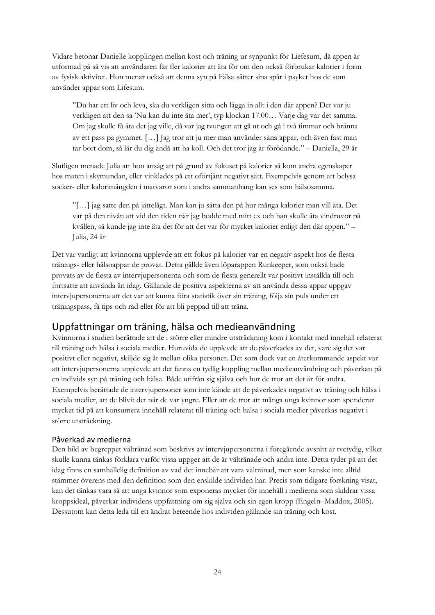Vidare betonar Danielle kopplingen mellan kost och träning ur synpunkt för Liefesum, då appen är utformad på så vis att användaren får fler kalorier att äta för om den också förbrukar kalorier i form av fysisk aktivitet. Hon menar också att denna syn på hälsa sätter sina spår i psyket hos de som använder appar som Lifesum.

"Du har ett liv och leva, ska du verkligen sitta och lägga in allt i den där appen? Det var ju verkligen att den sa 'Nu kan du inte äta mer', typ klockan 17.00… Varje dag var det samma. Om jag skulle få äta det jag ville, då var jag tvungen att gå ut och gå i två timmar och bränna av ett pass på gymmet. [...] Jag tror att ju mer man använder såna appar, och även fast man tar bort dom, så lär du dig ändå att ha koll. Och det tror jag är förödande." – Daniella, 29 år

Slutligen menade Julia att hon ansåg att på grund av fokuset på kalorier så kom andra egenskaper hos maten i skymundan, eller vinklades på ett oförtjänt negativt sätt. Exempelvis genom att belysa socker- eller kalorimängden i matvaror som i andra sammanhang kan ses som hälsosamma.

"… jag satte den på jättelågt. Man kan ju sätta den på hur många kalorier man vill äta. Det var på den nivån att vid den tiden när jag bodde med mitt ex och han skulle äta vindruvor på kvällen, så kunde jag inte äta det för att det var för mycket kalorier enligt den där appen." – Julia, 24 år

Det var vanligt att kvinnorna upplevde att ett fokus på kalorier var en negativ aspekt hos de flesta tränings- eller hälsoappar de provat. Detta gällde även löparappen Runkeeper, som också hade provats av de flesta av intervjupersonerna och som de flesta generellt var positivt inställda till och fortsatte att använda än idag. Gällande de positiva aspekterna av att använda dessa appar uppgav intervjupersonerna att det var att kunna föra statistik över sin träning, följa sin puls under ett träningspass, få tips och råd eller för att bli peppad till att träna.

### <span id="page-29-0"></span>Uppfattningar om träning, hälsa och medieanvändning

Kvinnorna i studien berättade att de i större eller mindre utsträckning kom i kontakt med innehåll relaterat till träning och hälsa i sociala medier. Huruvida de upplevde att de påverkades av det, vare sig det var positivt eller negativt, skiljde sig åt mellan olika personer. Det som dock var en återkommande aspekt var att intervjupersonerna upplevde att det fanns en tydlig koppling mellan medieanvändning och påverkan på en individs syn på träning och hälsa. Både utifrån sig själva och hur de tror att det är för andra. Exempelvis berättade de intervjupersoner som inte kände att de påverkades negativt av träning och hälsa i sociala medier, att de blivit det när de var yngre. Eller att de tror att många unga kvinnor som spenderar mycket tid på att konsumera innehåll relaterat till träning och hälsa i sociala medier påverkas negativt i större utsträckning.

#### <span id="page-29-1"></span>Påverkad av medierna

Den bild av begreppet vältränad som beskrivs av intervjupersonerna i föregående avsnitt är tvetydig, vilket skulle kunna tänkas förklara varför vissa uppger att de är vältränade och andra inte. Detta tyder på att det idag finns en samhällelig definition av vad det innebär att vara vältränad, men som kanske inte alltid stämmer överens med den definition som den enskilde individen har. Precis som tidigare forskning visat, kan det tänkas vara så att unga kvinnor som exponeras mycket för innehåll i medierna som skildrar vissa kroppsideal, påverkar individens uppfattning om sig själva och sin egen kropp (Engeln–Maddox, 2005). Dessutom kan detta leda till ett ändrat beteende hos individen gällande sin träning och kost.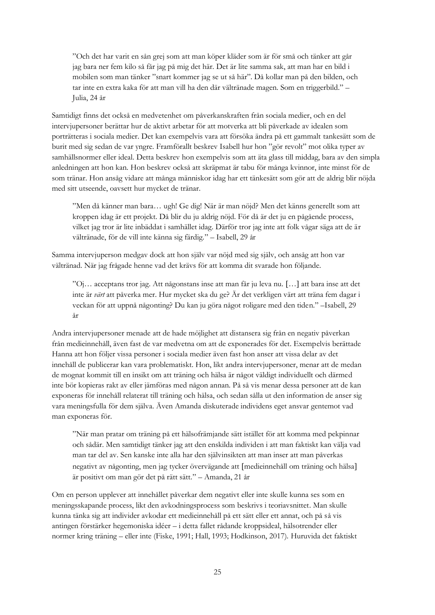"Och det har varit en sån grej som att man köper kläder som är för små och tänker att går jag bara ner fem kilo så får jag på mig det här. Det är lite samma sak, att man har en bild i mobilen som man tänker "snart kommer jag se ut så här". Då kollar man på den bilden, och tar inte en extra kaka för att man vill ha den där vältränade magen. Som en triggerbild." – Julia, 24 år

Samtidigt finns det också en medvetenhet om påverkanskraften från sociala medier, och en del intervjupersoner berättar hur de aktivt arbetar för att motverka att bli påverkade av idealen som porträtteras i sociala medier. Det kan exempelvis vara att försöka ändra på ett gammalt tankesätt som de burit med sig sedan de var yngre. Framförallt beskrev Isabell hur hon "gör revolt" mot olika typer av samhällsnormer eller ideal. Detta beskrev hon exempelvis som att äta glass till middag, bara av den simpla anledningen att hon kan. Hon beskrev också att skräpmat är tabu för många kvinnor, inte minst för de som tränar. Hon ansåg vidare att många människor idag har ett tänkesätt som gör att de aldrig blir nöjda med sitt utseende, oavsett hur mycket de tränar.

"Men då känner man bara… ugh! Ge dig! När är man nöjd? Men det känns generellt som att kroppen idag är ett projekt. Då blir du ju aldrig nöjd. För då är det ju en pågående process, vilket jag tror är lite inbäddat i samhället idag. Därför tror jag inte att folk vågar säga att de är vältränade, för de vill inte känna sig färdig." – Isabell, 29 år

Samma intervjuperson medgav dock att hon själv var nöjd med sig själv, och ansåg att hon var vältränad. När jag frågade henne vad det krävs för att komma dit svarade hon följande.

"Oj... acceptans tror jag. Att någonstans inse att man får ju leva nu. [...] att bara inse att det inte är *värt* att påverka mer. Hur mycket ska du ge? Är det verkligen värt att träna fem dagar i veckan för att uppnå någonting? Du kan ju göra något roligare med den tiden." –Isabell, 29 år

Andra intervjupersoner menade att de hade möjlighet att distansera sig från en negativ påverkan från medieinnehåll, även fast de var medvetna om att de exponerades för det. Exempelvis berättade Hanna att hon följer vissa personer i sociala medier även fast hon anser att vissa delar av det innehåll de publicerar kan vara problematiskt. Hon, likt andra intervjupersoner, menar att de medan de mognat kommit till en insikt om att träning och hälsa är något väldigt individuellt och därmed inte bör kopieras rakt av eller jämföras med någon annan. På så vis menar dessa personer att de kan exponeras för innehåll relaterat till träning och hälsa, och sedan sålla ut den information de anser sig vara meningsfulla för dem själva. Även Amanda diskuterade individens eget ansvar gentemot vad man exponeras för.

"När man pratar om träning på ett hälsofrämjande sätt istället för att komma med pekpinnar och sådär. Men samtidigt tänker jag att den enskilda individen i att man faktiskt kan välja vad man tar del av. Sen kanske inte alla har den självinsikten att man inser att man påverkas negativt av någonting, men jag tycker övervägande att medieinnehåll om träning och hälsa är positivt om man gör det på rätt sätt." – Amanda, 21 år

Om en person upplever att innehållet påverkar dem negativt eller inte skulle kunna ses som en meningsskapande process, likt den avkodningsprocess som beskrivs i teoriavsnittet. Man skulle kunna tänka sig att individer avkodar ett medieinnehåll på ett sätt eller ett annat, och på så vis antingen förstärker hegemoniska idéer – i detta fallet rådande kroppsideal, hälsotrender eller normer kring träning – eller inte (Fiske, 1991; Hall, 1993; Hodkinson, 2017). Huruvida det faktiskt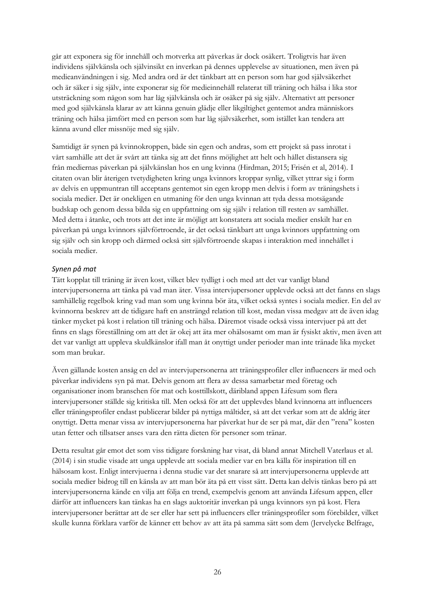går att exponera sig för innehåll och motverka att påverkas är dock osäkert. Troligtvis har även individens självkänsla och självinsikt en inverkan på dennes upplevelse av situationen, men även på medieanvändningen i sig. Med andra ord är det tänkbart att en person som har god självsäkerhet och är säker i sig själv, inte exponerar sig för medieinnehåll relaterat till träning och hälsa i lika stor utsträckning som någon som har låg självkänsla och är osäker på sig själv. Alternativt att personer med god självkänsla klarar av att känna genuin glädje eller likgiltighet gentemot andra människors träning och hälsa jämfört med en person som har låg självsäkerhet, som istället kan tendera att känna avund eller missnöje med sig själv.

Samtidigt är synen på kvinnokroppen, både sin egen och andras, som ett projekt så pass inrotat i vårt samhälle att det är svårt att tänka sig att det finns möjlighet att helt och hållet distansera sig från mediernas påverkan på självkänslan hos en ung kvinna (Hirdman, 2015; Frisén et al, 2014). I citaten ovan blir återigen tvetydigheten kring unga kvinnors kroppar synlig, vilket yttrar sig i form av delvis en uppmuntran till acceptans gentemot sin egen kropp men delvis i form av träningshets i sociala medier. Det är onekligen en utmaning för den unga kvinnan att tyda dessa motsägande budskap och genom dessa bilda sig en uppfattning om sig själv i relation till resten av samhället. Med detta i åtanke, och trots att det inte är möjligt att konstatera att sociala medier enskilt har en påverkan på unga kvinnors självförtroende, är det också tänkbart att unga kvinnors uppfattning om sig själv och sin kropp och därmed också sitt självförtroende skapas i interaktion med innehållet i sociala medier.

#### <span id="page-31-0"></span>*Synen på mat*

Tätt kopplat till träning är även kost, vilket blev tydligt i och med att det var vanligt bland intervjupersonerna att tänka på vad man äter. Vissa intervjupersoner upplevde också att det fanns en slags samhällelig regelbok kring vad man som ung kvinna bör äta, vilket också syntes i sociala medier. En del av kvinnorna beskrev att de tidigare haft en ansträngd relation till kost, medan vissa medgav att de även idag tänker mycket på kost i relation till träning och hälsa. Däremot visade också vissa intervjuer på att det finns en slags föreställning om att det är okej att äta mer ohälsosamt om man är fysiskt aktiv, men även att det var vanligt att uppleva skuldkänslor ifall man åt onyttigt under perioder man inte tränade lika mycket som man brukar.

Även gällande kosten ansåg en del av intervjupersonerna att träningsprofiler eller influencers är med och påverkar individens syn på mat. Delvis genom att flera av dessa samarbetar med företag och organisationer inom branschen för mat och kosttillskott, däribland appen Lifesum som flera intervjupersoner ställde sig kritiska till. Men också för att det upplevdes bland kvinnorna att influencers eller träningsprofiler endast publicerar bilder på nyttiga måltider, så att det verkar som att de aldrig äter onyttigt. Detta menar vissa av intervjupersonerna har påverkat hur de ser på mat, där den "rena" kosten utan fetter och tillsatser anses vara den rätta dieten för personer som tränar.

Detta resultat går emot det som viss tidigare forskning har visat, då bland annat Mitchell Vaterlaus et al. (2014) i sin studie visade att unga upplevde att sociala medier var en bra källa för inspiration till en hälsosam kost. Enligt intervjuerna i denna studie var det snarare så att intervjupersonerna upplevde att sociala medier bidrog till en känsla av att man bör äta på ett visst sätt. Detta kan delvis tänkas bero på att intervjupersonerna kände en vilja att följa en trend, exempelvis genom att använda Lifesum appen, eller därför att influencers kan tänkas ha en slags auktoritär inverkan på unga kvinnors syn på kost. Flera intervjupersoner berättar att de ser eller har sett på influencers eller träningsprofiler som förebilder, vilket skulle kunna förklara varför de känner ett behov av att äta på samma sätt som dem (Jervelycke Belfrage,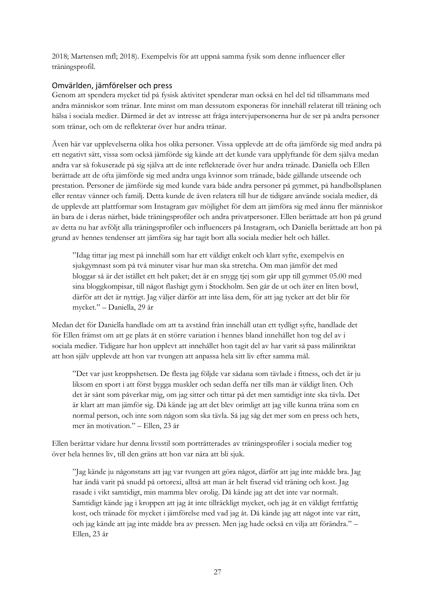2018; Martensen mfl; 2018). Exempelvis för att uppnå samma fysik som denne influencer eller träningsprofil.

### <span id="page-32-0"></span>Omvärlden, jämförelser och press

Genom att spendera mycket tid på fysisk aktivitet spenderar man också en hel del tid tillsammans med andra människor som tränar. Inte minst om man dessutom exponeras för innehåll relaterat till träning och hälsa i sociala medier. Därmed är det av intresse att fråga intervjupersonerna hur de ser på andra personer som tränar, och om de reflekterar över hur andra tränar.

Även här var upplevelserna olika hos olika personer. Vissa upplevde att de ofta jämförde sig med andra på ett negativt sätt, vissa som också jämförde sig kände att det kunde vara upplyftande för dem själva medan andra var så fokuserade på sig själva att de inte reflekterade över hur andra tränade. Daniella och Ellen berättade att de ofta jämförde sig med andra unga kvinnor som tränade, både gällande utseende och prestation. Personer de jämförde sig med kunde vara både andra personer på gymmet, på handbollsplanen eller rentav vänner och familj. Detta kunde de även relatera till hur de tidigare använde sociala medier, då de upplevde att plattformar som Instagram gav möjlighet för dem att jämföra sig med ännu fler människor än bara de i deras närhet, både träningsprofiler och andra privatpersoner. Ellen berättade att hon på grund av detta nu har avföljt alla träningsprofiler och influencers på Instagram, och Daniella berättade att hon på grund av hennes tendenser att jämföra sig har tagit bort alla sociala medier helt och hållet.

"Idag tittar jag mest på innehåll som har ett väldigt enkelt och klart syfte, exempelvis en sjukgymnast som på två minuter visar hur man ska stretcha. Om man jämför det med bloggar så är det istället ett helt paket; det är en snygg tjej som går upp till gymmet 05.00 med sina bloggkompisar, till något flashigt gym i Stockholm. Sen går de ut och äter en liten bowl, därför att det är nyttigt. Jag väljer därför att inte läsa dem, för att jag tycker att det blir för mycket." – Daniella, 29 år

Medan det för Daniella handlade om att ta avstånd från innehåll utan ett tydligt syfte, handlade det för Ellen främst om att ge plats åt en större variation i hennes bland innehållet hon tog del av i sociala medier. Tidigare har hon upplevt att innehållet hon tagit del av har varit så pass målinriktat att hon själv upplevde att hon var tvungen att anpassa hela sitt liv efter samma mål.

"Det var just kroppshetsen. De flesta jag följde var sådana som tävlade i fitness, och det är ju liksom en sport i att först bygga muskler och sedan deffa ner tills man är väldigt liten. Och det är sånt som påverkar mig, om jag sitter och tittar på det men samtidigt inte ska tävla. Det är klart att man jämför sig. Då kände jag att det blev orimligt att jag ville kunna träna som en normal person, och inte som någon som ska tävla. Så jag såg det mer som en press och hets, mer än motivation." – Ellen, 23 år

Ellen berättar vidare hur denna livsstil som porträtterades av träningsprofiler i sociala medier tog över hela hennes liv, till den gräns att hon var nära att bli sjuk.

"Jag kände ju någonstans att jag var tvungen att göra något, därför att jag inte mådde bra. Jag har ändå varit på snudd på ortorexi, alltså att man är helt fixerad vid träning och kost. Jag rasade i vikt samtidigt, min mamma blev orolig. Då kände jag att det inte var normalt. Samtidigt kände jag i kroppen att jag åt inte tillräckligt mycket, och jag åt en väldigt fettfattig kost, och tränade för mycket i jämförelse med vad jag åt. Då kände jag att något inte var rätt, och jag kände att jag inte mådde bra av pressen. Men jag hade också en vilja att förändra." – Ellen, 23 år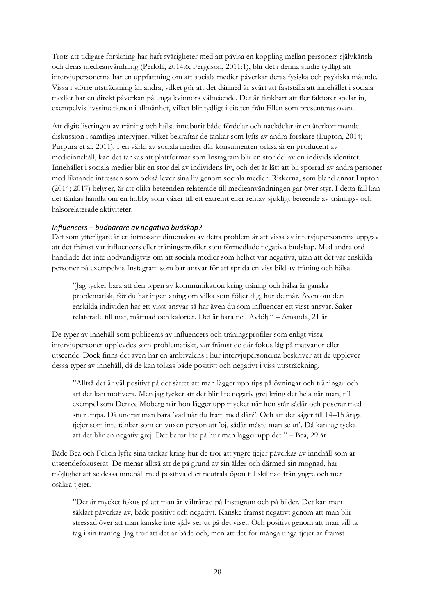Trots att tidigare forskning har haft svårigheter med att påvisa en koppling mellan personers självkänsla och deras medieanvändning (Perloff, 2014:6; Ferguson, 2011:1), blir det i denna studie tydligt att intervjupersonerna har en uppfattning om att sociala medier påverkar deras fysiska och psykiska mående. Vissa i större utsträckning än andra, vilket gör att det därmed är svårt att fastställa att innehållet i sociala medier har en direkt påverkan på unga kvinnors välmående. Det är tänkbart att fler faktorer spelar in, exempelvis livssituationen i allmänhet, vilket blir tydligt i citaten från Ellen som presenteras ovan.

Att digitaliseringen av träning och hälsa inneburit både fördelar och nackdelar är en återkommande diskussion i samtliga intervjuer, vilket bekräftar de tankar som lyfts av andra forskare (Lupton, 2014; Purpura et al, 2011). I en värld av sociala medier där konsumenten också är en producent av medieinnehåll, kan det tänkas att plattformar som Instagram blir en stor del av en individs identitet. Innehållet i sociala medier blir en stor del av individens liv, och det är lätt att bli sporrad av andra personer med liknande intressen som också lever sina liv genom sociala medier. Riskerna, som bland annat Lupton (2014; 2017) belyser, är att olika beteenden relaterade till medieanvändningen går över styr. I detta fall kan det tänkas handla om en hobby som växer till ett extremt eller rentav sjukligt beteende av tränings- och hälsorelaterade aktiviteter.

#### <span id="page-33-0"></span>*Influencers – budbärare av negativa budskap?*

Det som ytterligare är en intressant dimension av detta problem är att vissa av intervjupersonerna uppgav att det främst var influencers eller träningsprofiler som förmedlade negativa budskap. Med andra ord handlade det inte nödvändigtvis om att sociala medier som helhet var negativa, utan att det var enskilda personer på exempelvis Instagram som bar ansvar för att sprida en viss bild av träning och hälsa.

"Jag tycker bara att den typen av kommunikation kring träning och hälsa är ganska problematisk, för du har ingen aning om vilka som följer dig, hur de mår. Även om den enskilda individen har ett visst ansvar så har även du som influencer ett visst ansvar. Saker relaterade till mat, mättnad och kalorier. Det är bara nej. Avfölj!" – Amanda, 21 år

De typer av innehåll som publiceras av influencers och träningsprofiler som enligt vissa intervjupersoner upplevdes som problematiskt, var främst de där fokus låg på matvanor eller utseende. Dock finns det även här en ambivalens i hur intervjupersonerna beskriver att de upplever dessa typer av innehåll, då de kan tolkas både positivt och negativt i viss utrsträckning.

"Alltså det är väl positivt på det sättet att man lägger upp tips på övningar och träningar och att det kan motivera. Men jag tycker att det blir lite negativ grej kring det hela när man, till exempel som Denice Moberg när hon lägger upp mycket när hon står sådär och poserar med sin rumpa. Då undrar man bara 'vad når du fram med där?'. Och att det säger till 14–15 åriga tjejer som inte tänker som en vuxen person att 'oj, sådär måste man se ut'. Då kan jag tycka att det blir en negativ grej. Det beror lite på hur man lägger upp det." – Bea, 29 år

Både Bea och Felicia lyfte sina tankar kring hur de tror att yngre tjejer påverkas av innehåll som är utseendefokuserat. De menar alltså att de på grund av sin ålder och därmed sin mognad, har möjlighet att se dessa innehåll med positiva eller neutrala ögon till skillnad från yngre och mer osäkra tiejer.

"Det är mycket fokus på att man är vältränad på Instagram och på bilder. Det kan man såklart påverkas av, både positivt och negativt. Kanske främst negativt genom att man blir stressad över att man kanske inte själv ser ut på det viset. Och positivt genom att man vill ta tag i sin träning. Jag tror att det är både och, men att det för många unga tjejer är främst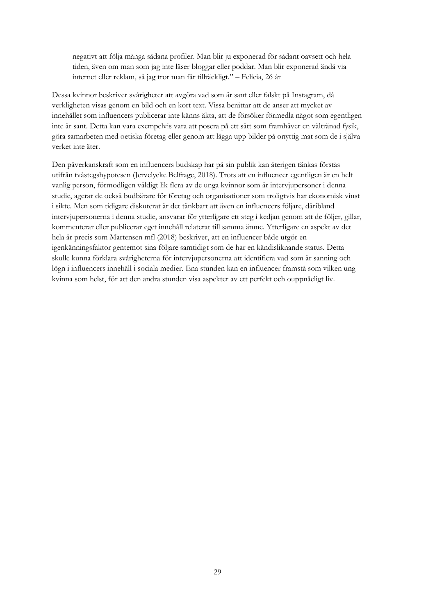negativt att följa många sådana profiler. Man blir ju exponerad för sådant oavsett och hela tiden, även om man som jag inte läser bloggar eller poddar. Man blir exponerad ändå via internet eller reklam, så jag tror man får tillräckligt." – Felicia, 26 år

Dessa kvinnor beskriver svårigheter att avgöra vad som är sant eller falskt på Instagram, då verkligheten visas genom en bild och en kort text. Vissa berättar att de anser att mycket av innehållet som influencers publicerar inte känns äkta, att de försöker förmedla något som egentligen inte är sant. Detta kan vara exempelvis vara att posera på ett sätt som framhäver en vältränad fysik, göra samarbeten med oetiska företag eller genom att lägga upp bilder på onyttig mat som de i själva verket inte äter.

Den påverkanskraft som en influencers budskap har på sin publik kan återigen tänkas förstås utifrån tvåstegshypotesen (Jervelycke Belfrage, 2018). Trots att en influencer egentligen är en helt vanlig person, förmodligen väldigt lik flera av de unga kvinnor som är intervjupersoner i denna studie, agerar de också budbärare för företag och organisationer som troligtvis har ekonomisk vinst i sikte. Men som tidigare diskuterat är det tänkbart att även en influencers följare, däribland intervjupersonerna i denna studie, ansvarar för ytterligare ett steg i kedjan genom att de följer, gillar, kommenterar eller publicerar eget innehåll relaterat till samma ämne. Ytterligare en aspekt av det hela är precis som Martensen mfl (2018) beskriver, att en influencer både utgör en igenkänningsfaktor gentemot sina följare samtidigt som de har en kändisliknande status. Detta skulle kunna förklara svårigheterna för intervjupersonerna att identifiera vad som är sanning och lögn i influencers innehåll i sociala medier. Ena stunden kan en influencer framstå som vilken ung kvinna som helst, för att den andra stunden visa aspekter av ett perfekt och ouppnåeligt liv.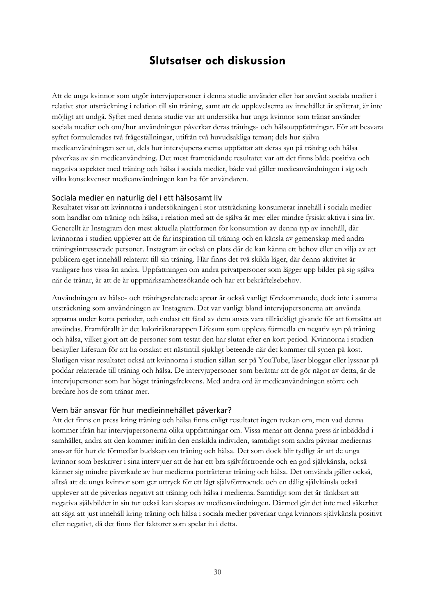# **Slutsatser och diskussion**

<span id="page-35-0"></span>Att de unga kvinnor som utgör intervjupersoner i denna studie använder eller har använt sociala medier i relativt stor utsträckning i relation till sin träning, samt att de upplevelserna av innehållet är splittrat, är inte möjligt att undgå. Syftet med denna studie var att undersöka hur unga kvinnor som tränar använder sociala medier och om/hur användningen påverkar deras tränings- och hälsouppfattningar. För att besvara syftet formulerades två frågeställningar, utifrån två huvudsakliga teman; dels hur själva medieanvändningen ser ut, dels hur intervjupersonerna uppfattar att deras syn på träning och hälsa påverkas av sin medieanvändning. Det mest framträdande resultatet var att det finns både positiva och negativa aspekter med träning och hälsa i sociala medier, både vad gäller medieanvändningen i sig och vilka konsekvenser medieanvändningen kan ha för användaren.

#### <span id="page-35-1"></span>Sociala medier en naturlig del i ett hälsosamt liv

Resultatet visar att kvinnorna i undersökningen i stor utsträckning konsumerar innehåll i sociala medier som handlar om träning och hälsa, i relation med att de själva är mer eller mindre fysiskt aktiva i sina liv. Generellt är Instagram den mest aktuella plattformen för konsumtion av denna typ av innehåll, där kvinnorna i studien upplever att de får inspiration till träning och en känsla av gemenskap med andra träningsintresserade personer. Instagram är också en plats där de kan känna ett behov eller en vilja av att publicera eget innehåll relaterat till sin träning. Här finns det två skilda läger, där denna aktivitet är vanligare hos vissa än andra. Uppfattningen om andra privatpersoner som lägger upp bilder på sig själva när de tränar, är att de är uppmärksamhetssökande och har ett bekräftelsebehov.

Användningen av hälso- och träningsrelaterade appar är också vanligt förekommande, dock inte i samma utsträckning som användningen av Instagram. Det var vanligt bland intervjupersonerna att använda apparna under korta perioder, och endast ett fåtal av dem anses vara tillräckligt givande för att fortsätta att användas. Framförallt är det kaloriräknarappen Lifesum som upplevs förmedla en negativ syn på träning och hälsa, vilket gjort att de personer som testat den har slutat efter en kort period. Kvinnorna i studien beskyller Lifesum för att ha orsakat ett nästintill sjukligt beteende när det kommer till synen på kost. Slutligen visar resultatet också att kvinnorna i studien sällan ser på YouTube, läser bloggar eller lyssnar på poddar relaterade till träning och hälsa. De intervjupersoner som berättar att de gör något av detta, är de intervjupersoner som har högst träningsfrekvens. Med andra ord är medieanvändningen större och bredare hos de som tränar mer.

#### <span id="page-35-2"></span>Vem bär ansvar för hur medieinnehållet påverkar?

Att det finns en press kring träning och hälsa finns enligt resultatet ingen tvekan om, men vad denna kommer ifrån har intervjupersonerna olika uppfattningar om. Vissa menar att denna press är inbäddad i samhället, andra att den kommer inifrån den enskilda individen, samtidigt som andra påvisar mediernas ansvar för hur de förmedlar budskap om träning och hälsa. Det som dock blir tydligt är att de unga kvinnor som beskriver i sina intervjuer att de har ett bra självförtroende och en god självkänsla, också känner sig mindre påverkade av hur medierna porträtterar träning och hälsa. Det omvända gäller också, alltså att de unga kvinnor som ger uttryck för ett lågt självförtroende och en dålig självkänsla också upplever att de påverkas negativt att träning och hälsa i medierna. Samtidigt som det är tänkbart att negativa självbilder in sin tur också kan skapas av medieanvändningen. Därmed går det inte med säkerhet att säga att just innehåll kring träning och hälsa i sociala medier påverkar unga kvinnors självkänsla positivt eller negativt, då det finns fler faktorer som spelar in i detta.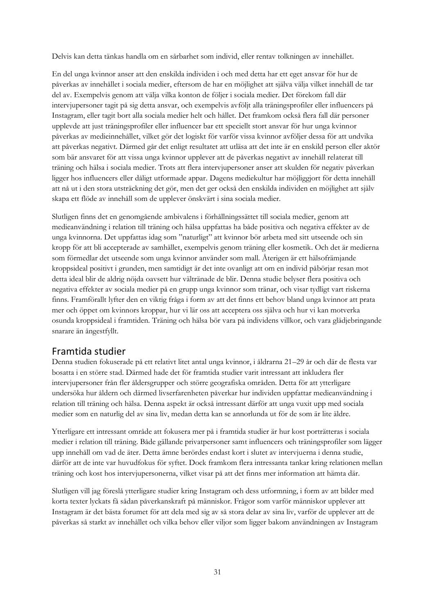Delvis kan detta tänkas handla om en sårbarhet som individ, eller rentav tolkningen av innehållet.

En del unga kvinnor anser att den enskilda individen i och med detta har ett eget ansvar för hur de påverkas av innehållet i sociala medier, eftersom de har en möjlighet att själva välja vilket innehåll de tar del av. Exempelvis genom att välja vilka konton de följer i sociala medier. Det förekom fall där intervjupersoner tagit på sig detta ansvar, och exempelvis avföljt alla träningsprofiler eller influencers på Instagram, eller tagit bort alla sociala medier helt och hållet. Det framkom också flera fall där personer upplevde att just träningsprofiler eller influencer bar ett speciellt stort ansvar för hur unga kvinnor påverkas av medieinnehållet, vilket gör det logiskt för varför vissa kvinnor avföljer dessa för att undvika att påverkas negativt. Därmed går det enligt resultatet att utläsa att det inte är en enskild person eller aktör som bär ansvaret för att vissa unga kvinnor upplever att de påverkas negativt av innehåll relaterat till träning och hälsa i sociala medier. Trots att flera intervjupersoner anser att skulden för negativ påverkan ligger hos influencers eller dåligt utformade appar. Dagens mediekultur har möjliggjort för detta innehåll att nå ut i den stora utsträckning det gör, men det ger också den enskilda individen en möjlighet att själv skapa ett flöde av innehåll som de upplever önskvärt i sina sociala medier.

Slutligen finns det en genomgående ambivalens i förhållningssättet till sociala medier, genom att medieanvändning i relation till träning och hälsa uppfattas ha både positiva och negativa effekter av de unga kvinnorna. Det uppfattas idag som "naturligt" att kvinnor bör arbeta med sitt utseende och sin kropp för att bli accepterade av samhället, exempelvis genom träning eller kosmetik. Och det är medierna som förmedlar det utseende som unga kvinnor använder som mall. Återigen är ett hälsofrämjande kroppsideal positivt i grunden, men samtidigt är det inte ovanligt att om en individ påbörjar resan mot detta ideal blir de aldrig nöjda oavsett hur vältränade de blir. Denna studie belyser flera positiva och negativa effekter av sociala medier på en grupp unga kvinnor som tränar, och visar tydligt vart riskerna finns. Framförallt lyfter den en viktig fråga i form av att det finns ett behov bland unga kvinnor att prata mer och öppet om kvinnors kroppar, hur vi lär oss att acceptera oss själva och hur vi kan motverka osunda kroppsideal i framtiden. Träning och hälsa bör vara på individens villkor, och vara glädjebringande snarare än ångestfyllt.

### <span id="page-36-0"></span>Framtida studier

Denna studien fokuserade på ett relativt litet antal unga kvinnor, i åldrarna 21–29 år och där de flesta var bosatta i en större stad. Därmed hade det för framtida studier varit intressant att inkludera fler intervjupersoner från fler åldersgrupper och större geografiska områden. Detta för att ytterligare undersöka hur åldern och därmed livserfarenheten påverkar hur individen uppfattar medieanvändning i relation till träning och hälsa. Denna aspekt är också intressant därför att unga vuxit upp med sociala medier som en naturlig del av sina liv, medan detta kan se annorlunda ut för de som är lite äldre.

Ytterligare ett intressant område att fokusera mer på i framtida studier är hur kost porträtteras i sociala medier i relation till träning. Både gällande privatpersoner samt influencers och träningsprofiler som lägger upp innehåll om vad de äter. Detta ämne berördes endast kort i slutet av intervjuerna i denna studie, därför att de inte var huvudfokus för syftet. Dock framkom flera intressanta tankar kring relationen mellan träning och kost hos intervjupersonerna, vilket visar på att det finns mer information att hämta där.

Slutligen vill jag föreslå ytterligare studier kring Instagram och dess utformning, i form av att bilder med korta texter lyckats få sådan påverkanskraft på människor. Frågor som varför människor upplever att Instagram är det bästa forumet för att dela med sig av så stora delar av sina liv, varför de upplever att de påverkas så starkt av innehållet och vilka behov eller viljor som ligger bakom användningen av Instagram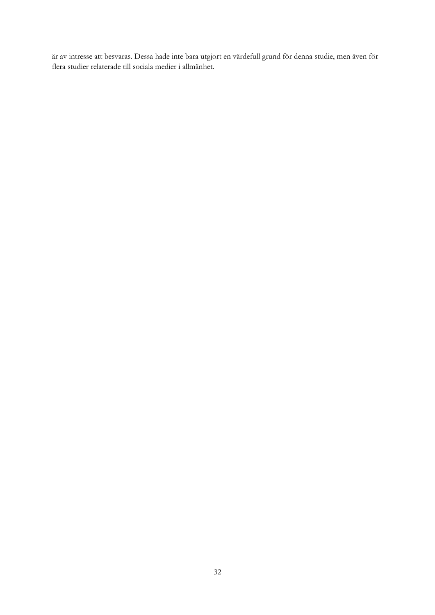är av intresse att besvaras. Dessa hade inte bara utgjort en värdefull grund för denna studie, men även för flera studier relaterade till sociala medier i allmänhet.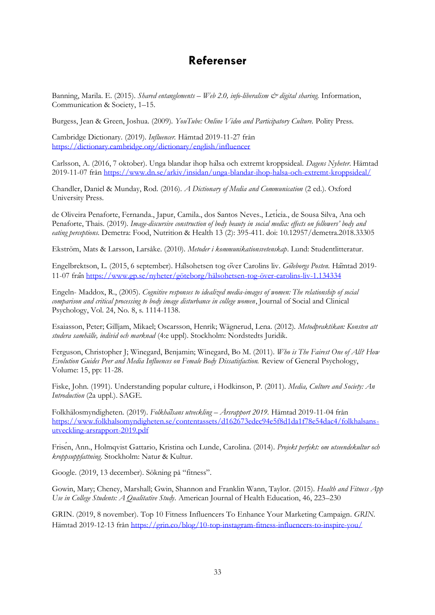# **Referenser**

<span id="page-38-0"></span>Banning, Marila. E. (2015). *Shared entanglements – Web 2.0, info-liberalism & digital sharing.* Information, Communication & Society, 1–15.

Burgess, Jean & Green, Joshua. (2009). *YouTube: Online Video and Participatory Culture.* Polity Press.

Cambridge Dictionary. (2019). *Influencer.* Hämtad 2019-11-27 från <https://dictionary.cambridge.org/dictionary/english/influencer>

Carlsson, A. (2016, 7 oktober). Unga blandar ihop hälsa och extremt kroppsideal. *Dagens Nyheter*. Hämtad 2019-11-07 från<https://www.dn.se/arkiv/insidan/unga-blandar-ihop-halsa-och-extremt-kroppsideal/>

Chandler, Daniel & Munday, Rod. (2016). *A Dictionary of Media and Communication* (2 ed.). Oxford University Press.

de Oliveira Penaforte, Fernanda., Japur, Camila., dos Santos Neves., Letícia., de Sousa Silva, Ana och Penaforte, Thais. (2019). *Image-discursive construction of body beauty in social media: effects on followers' body and eating perceptions*. Demetra: Food, Nutrition & Health 13 (2): 395-411. doi: 10.12957/demetra.2018.33305

Ekström, Mats & Larsson, Larsåke. (2010). *Metoder i kommunikationsvetenskap*. Lund: Studentlitteratur.

Engelbrektson, L. (2015, 6 september). Hälsohetsen tog över Carolins liv. *Göteborgs Posten.* Hämtad 2019- 11-07 från<https://www.gp.se/nyheter/göteborg/hälsohetsen-tog-över-carolins-liv-1.134334>

Engeln- Maddox, R., (2005). *Cognitive responses to idealized media-images of women: The relationship of social comparison and critical processing to body image disturbance in college women*, Journal of Social and Clinical Psychology, Vol. 24, No. 8, s. 1114-1138.

Esaiasson, Peter; Gilljam, Mikael; Oscarsson, Henrik; Wägnerud, Lena. (2012). *Metodpraktikan: Konsten att studera samhälle, individ och marknad* (4:e uppl). Stockholm: Nordstedts Juridik.

Ferguson, Christopher J; Winegard, Benjamin; Winegard, Bo M. (2011). *Who is The Fairest One of All? How Evolution Guides Peer and Media Influences on Female Body Dissatisfaction. Review of General Psychology,* Volume: 15, pp: 11-28.

Fiske, John. (1991). Understanding popular culture, i Hodkinson, P. (2011). *Media, Culture and Society: An Introduction* (2a uppl.). SAGE.

Folkhälosmyndigheten. (2019). *Folkhälsans utveckling – Årsrapport 2019.* Hämtad 2019-11-04 från [https://www.folkhalsomyndigheten.se/contentassets/d162673edec94e5f8d1da1f78e54dac4/folkhalsans](https://www.folkhalsomyndigheten.se/contentassets/d162673edec94e5f8d1da1f78e54dac4/folkhalsans-utveckling-arsrapport-2019.pdf)[utveckling-arsrapport-2019.pdf](https://www.folkhalsomyndigheten.se/contentassets/d162673edec94e5f8d1da1f78e54dac4/folkhalsans-utveckling-arsrapport-2019.pdf)

Frisén, Ann., Holmqvist Gattario, Kristina och Lunde, Carolina. (2014). *Projekt perfekt: om utseendekultur och kroppsuppfattning*. Stockholm: Natur & Kultur.

Google. (2019, 13 december). Sökning på "fitness".

Gowin, Mary; Cheney, Marshall; Gwin, Shannon and Franklin Wann, Taylor. (2015). *Health and Fitness App Use in College Students: A Qualitative Study.* American Journal of Health Education, 46, 223–230

GRIN. (2019, 8 november). Top 10 Fitness Influencers To Enhance Your Marketing Campaign. *GRIN.*  Hämtad 2019-12-13 från<https://grin.co/blog/10-top-instagram-fitness-influencers-to-inspire-you/>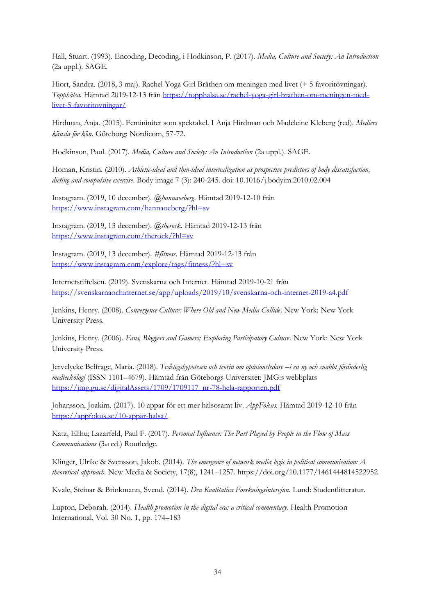Hall, Stuart. (1993). Encoding, Decoding, i Hodkinson, P. (2017). *Media, Culture and Society: An Introduction* (2a uppl.)*.* SAGE.

Hiort, Sandra. (2018, 3 maj). Rachel Yoga Girl Bråthen om meningen med livet (+ 5 favoritövningar). *Topphälsa.* Hämtad 2019-12-13 frå[n https://topphalsa.se/rachel-yoga-girl-brathen-om-meningen-med](https://topphalsa.se/rachel-yoga-girl-brathen-om-meningen-med-livet-5-favoritovningar/)[livet-5-favoritovningar/](https://topphalsa.se/rachel-yoga-girl-brathen-om-meningen-med-livet-5-favoritovningar/)

Hirdman, Anja. (2015). Femininitet som spektakel. I Anja Hirdman och Madeleine Kleberg (red). *Mediers känsla för kön*. Göteborg: Nordicom, 57-72.

Hodkinson, Paul. (2017). *Media, Culture and Society: An Introduction* (2a uppl.). SAGE.

Homan, Kristin. (2010). *Athletic-ideal and thin-ideal internalization as prospective predictors of body dissatisfaction, dieting and compulsive exercise*. Body image 7 (3): 240-245. doi: 10.1016/j.bodyim.2010.02.004

Instagram. (2019, 10 december). *@hannaoeberg*. Hämtad 2019-12-10 från <https://www.instagram.com/hannaoeberg/?hl=sv>

Instagram. (2019, 13 december). *@therock.* Hämtad 2019-12-13 från <https://www.instagram.com/therock/?hl=sv>

Instagram. (2019, 13 december). *#fitness*. Hämtad 2019-12-13 från <https://www.instagram.com/explore/tags/fitness/?hl=sv>

Internetstiftelsen. (2019). Svenskarna och Internet. Hämtad 2019-10-21 från <https://svenskarnaochinternet.se/app/uploads/2019/10/svenskarna-och-internet-2019-a4.pdf>

Jenkins, Henry. (2008). *Convergence Culture: Where Old and New Media Collide*. New York: New York University Press.

Jenkins, Henry. (2006). *Fans, Bloggers and Gamers; Exploring Participatory Culture*. New York: New York University Press.

Jervelycke Belfrage, Maria. (2018). *Tvåstegshypotesen och teorin om opinionsledare –i en ny och snabbt föränderlig medieekologi* (ISSN 1101–4679). Hämtad från Göteborgs Universitet: JMG:s webbplats [https://jmg.gu.se/digitalAssets/1709/1709117\\_nr-78-hela-rapporten.pdf](https://jmg.gu.se/digitalAssets/1709/1709117_nr-78-hela-rapporten.pdf)

Johansson, Joakim. (2017). 10 appar för ett mer hälsosamt liv. *AppFokus.* Hämtad 2019-12-10 från <https://appfokus.se/10-appar-halsa/>

Katz, Elihu; Lazarfeld, Paul F. (2017). *Personal Influence: The Part Played by People in the Flow of Mass Communications* (3rd ed.) Routledge.

Klinger, Ulrike & Svensson, Jakob. (2014). *The emergence of network media logic in political communication: A theoretical approach.* New Media & Society, 17(8), 1241–1257. https://doi.org/10.1177/1461444814522952

Kvale, Steinar & Brinkmann, Svend. (2014). *Den Kvalitativa Forskningsintervjun.* Lund: Studentlitteratur.

Lupton, Deborah. (2014). *Health promotion in the digital era: a critical commentary.* Health Promotion International, Vol. 30 No. 1, pp. 174–183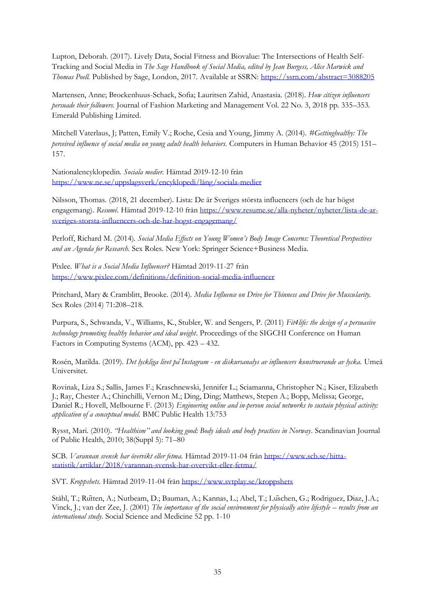Lupton, Deborah. (2017). Lively Data, Social Fitness and Biovalue: The Intersections of Health Self-Tracking and Social Media in *The Sage Handbook of Social Media, edited by Jean Burgess, Alice Marwick and Thomas Poell.* Published by Sage, London, 2017. Available at SSRN[: https://ssrn.com/abstract=3088205](https://ssrn.com/abstract=3088205)

Martensen, Anne; Brockenhuus-Schack, Sofia; Lauritsen Zahid, Anastasia. (2018). *How citizen influencers persuade their followers.* Journal of Fashion Marketing and Management Vol. 22 No. 3, 2018 pp. 335–353. Emerald Publishing Limited.

Mitchell Vaterlaus, J; Patten, Emily V.; Roche, Cesia and Young, Jimmy A. (2014). *#Gettinghealthy: The perceived influence of social media on young adult health behaviors.* Computers in Human Behavior 45 (2015) 151– 157.

Nationalencyklopedin. *Sociala medier.* Hämtad 2019-12-10 från <https://www.ne.se/uppslagsverk/encyklopedi/lång/sociala-medier>

Nilsson, Thomas. (2018, 21 december). Lista: De är Sveriges största influencers (och de har högst engagemang). *Resumé*. Hämtad 2019-12-10 från [https://www.resume.se/alla-nyheter/nyheter/lista-de-ar](https://www.resume.se/alla-nyheter/nyheter/lista-de-ar-sveriges-storsta-influencers-och-de-har-hogst-engagemang/)[sveriges-storsta-influencers-och-de-har-hogst-engagemang/](https://www.resume.se/alla-nyheter/nyheter/lista-de-ar-sveriges-storsta-influencers-och-de-har-hogst-engagemang/)

Perloff, Richard M. (2014). *Social Media Effects on Young Women's Body Image Concerns: Theoretical Perspectives and an Agenda for Research.* Sex Roles. New York: Springer Science+Business Media.

Pixlee. *What is a Social Media Influencer?* Hämtad 2019-11-27 från <https://www.pixlee.com/definitions/definition-social-media-influencer>

Pritchard, Mary & Cramblitt, Brooke. (2014). *Media Influence on Drive for Thinness and Drive for Muscularity.*  Sex Roles (2014) 71:208–218.

Purpura, S., Schwanda, V., Williams, K., Stubler, W. and Sengers, P. (2011) *Fit4life: the design of a persuasive technology promoting healthy behavior and ideal weight*. Proceedings of the SIGCHI Conference on Human Factors in Computing Systems (ACM), pp. 423 – 432.

Rosén, Matilda. (2019). *Det lyckliga livet påInstagram - en diskursanalys av influencers konstruerande av lycka.* Umeå Universitet.

Rovinak, Liza S.; Sallis, James F.; Kraschnewski, Jennifer L.; Sciamanna, Christopher N.; Kiser, Elizabeth J.; Ray, Chester A.; Chinchilli, Vernon M.; Ding, Ding; Matthews, Stepen A.; Bopp, Melissa; George, Daniel R.; Hovell, Melbourne F. (2013) *Engineering online and in-person social networks to sustain physical activity: application of a conceptual model.* BMC Public Health 13:753

Rysst, Mari. (2010). *''Healthism'' and looking good: Body ideals and body practices in Norway.* Scandinavian Journal of Public Health, 2010; 38(Suppl 5): 71–80

SCB. *Varannan svensk har övervikt eller fetma.* Hämtad 2019-11-04 från [https://www.scb.se/hitta](https://www.scb.se/hitta-statistik/artiklar/2018/varannan-svensk-har-overvikt-eller-fetma/)[statistik/artiklar/2018/varannan-svensk-har-overvikt-eller-fetma/](https://www.scb.se/hitta-statistik/artiklar/2018/varannan-svensk-har-overvikt-eller-fetma/)

SVT. *Kroppshets.* Hämtad 2019-11-04 frå[n https://www.svtplay.se/kroppshets](https://www.svtplay.se/kroppshets)

Ståhl, T.; Rütten, A.; Nutbeam, D.; Bauman, A.; Kannas, L.; Abel, T.; Lüschen, G.; Rodriguez, Diaz, J.A.; Vinck, J.; van der Zee, J. (2001) *The importance of the social environment for physically ative lifestyle – results from an international study*. Social Science and Medicine 52 pp. 1-10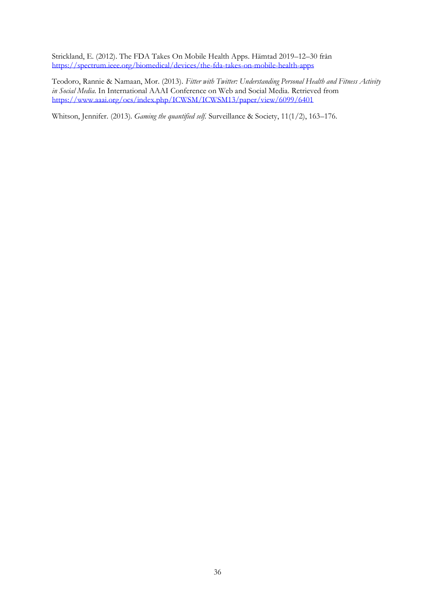Strickland, E. (2012). The FDA Takes On Mobile Health Apps. Hämtad 2019–12–30 från <https://spectrum.ieee.org/biomedical/devices/the-fda-takes-on-mobile-health-apps>

Teodoro, Rannie & Namaan, Mor. (2013). *Fitter with Twitter: Understanding Personal Health and Fitness Activity in Social Media*. In International AAAI Conference on Web and Social Media. Retrieved from <https://www.aaai.org/ocs/index.php/ICWSM/ICWSM13/paper/view/6099/6401>

Whitson, Jennifer. (2013). *Gaming the quantified self.* Surveillance & Society, 11(1/2), 163–176.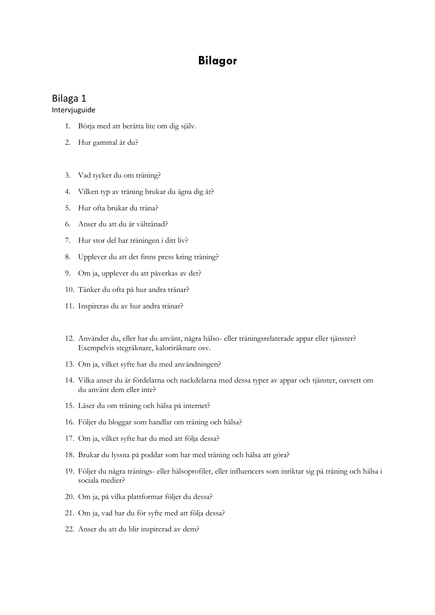# **Bilagor**

# <span id="page-42-1"></span><span id="page-42-0"></span>Bilaga 1

Intervjuguide

- 1. Börja med att berätta lite om dig själv.
- 2. Hur gammal är du?
- 3. Vad tycker du om träning?
- 4. Vilken typ av träning brukar du ägna dig åt?
- 5. Hur ofta brukar du träna?
- 6. Anser du att du är vältränad?
- 7. Hur stor del har träningen i ditt liv?
- 8. Upplever du att det finns press kring träning?
- 9. Om ja, upplever du att påverkas av det?
- 10. Tänker du ofta på hur andra tränar?
- 11. Inspireras du av hur andra tränar?
- 12. Använder du, eller har du använt, några hälso- eller träningsrelaterade appar eller tjänster? Exempelvis stegräknare, kaloriräknare osv.
- 13. Om ja, vilket syfte har du med användningen?
- 14. Vilka anser du är fördelarna och nackdelarna med dessa typer av appar och tjänster, oavsett om du använt dem eller inte?
- 15. Läser du om träning och hälsa på internet?
- 16. Följer du bloggar som handlar om träning och hälsa?
- 17. Om ja, vilket syfte har du med att följa dessa?
- 18. Brukar du lyssna på poddar som har med träning och hälsa att göra?
- 19. Följer du några tränings- eller hälsoprofiler, eller influencers som inriktar sig på träning och hälsa i sociala medier?
- 20. Om ja, på vilka plattformar följer du dessa?
- 21. Om ja, vad har du för syfte med att följa dessa?
- 22. Anser du att du blir inspirerad av dem?